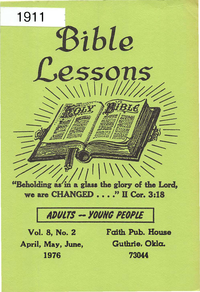1911 Bible essons

"Beholding as in a glass the glory of the Lord, we are CHANGED . . . ." II Cor. 3:18

# ADULTS -- YOUNG PEOPLE

April, May, June, Guthrie. Okla.

Vol. 8, No. 2 Faith Pub. House 1976 73044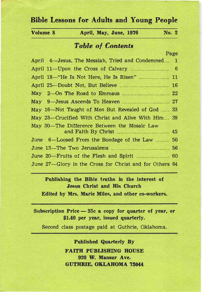## Bible Lessons for Adults and Young People

| Volume 8 | April, May, June, 1976 |  | <b>No. 2</b> |
|----------|------------------------|--|--------------|
|          |                        |  |              |

# **Table of Contents**

|                                                         | Page |
|---------------------------------------------------------|------|
| April 4—Jesus, The Messiah, Tried and Condemned 1       |      |
|                                                         |      |
|                                                         |      |
|                                                         |      |
|                                                         |      |
|                                                         |      |
| May 16—Not Taught of Men But Revealed of God  33        |      |
| May 23—Crucified With Christ and Alive With Him 39      |      |
| May 30—The Difference Between the Mosaic Law            | 45   |
| June 6—Loosed From the Bondage of the Law  50           |      |
|                                                         |      |
|                                                         |      |
| June 27—Glory in the Cross for Christ and for Others 64 |      |
|                                                         |      |

Publishing the Bible truths in the interest of Jesus Christ and His Church

Edited by Mrs. Marie Miles, and other co-workers.

Subscription Price - 35c a copy for quarter of year, or \$1.40 per year, issued quarterly.

Second class postage paid at Guthrie, Oklahoma.

Published Quarterly By FAITH PUBLISHING HOUSE 920 W. Mansur Ave. GUTHRIE, OKLAHOMA 78044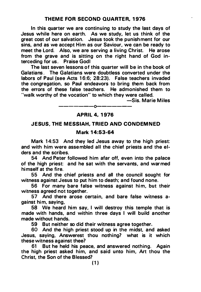#### THEME FOR SECOND QUARTER. 1 976

In this quarter we are continuing to study the last days of Jesus while here on earth. As we study, let us think of the great cost of our salvation. Jesus took the punishment for our sins, and as we accept Him as our Saviour, we can be ready to meet the lord. Also, we are serving a living Christ. He arose from the grave and is sitting on the right hand of God interceding for us. Praise Godl

The last seven lessons of this quarter will be in the book of Galatians. The Galatians were doubtless converted under the labors of Paul (see Acts 16:6; 28:23). False teachers invaded the congregation, so Paul endeavors to bring them back from the errors of these false teachers. He admonished them to "walk worthy of the vocation" to which they were called.

 $-S$ is. Marie Miles

-------o-------

#### **APRIL 4, 1976**

#### JESUS, THE MESSIAH. TRIED AND CONDEMNED

#### Mark 1 4:53-64

Mark 14:53 And they led Jesus away to the high priest: and with him were assembled all the chief priests and the elders and the scribes.

54 And Peter followed him afar off, even into the palace of the high priest: and he sat with the servants, and warmed himself at the fire.

55 And the chief priests and all the council sought for witness against Jesus to put him to death; and found none.

56 For many bare false witness against him, but their witness agreed not together.

57 And there arose certain, and bare false witness against him, saying,

58 We heard him say, I will destroy this temple that is made with hands, and within three days I will build another made without hands.

59 But neither so did their witness agree together,

60 And the high priest stood up in the midst, and asked Jesus, saying, Answerest thou nothing? what is it which these witness against thee?

61 But he held his peace, and answered nothing. Again the high priest asked him, and said unto him, Art thou the Christ, the Son of the Blessed?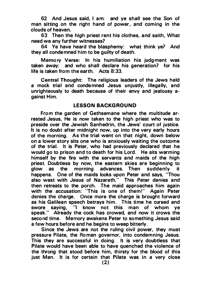62 And Jesus said, I am: and ye shall see the Son of man sitting on the right hand of power, and coming in the clouds of heaven.

63 Then the high priest rent his clothes, and saith, What need we any further witnesses?

64 Ye have heard the blasphemy: what think ye? And they all condemned him to be quilty of death.

Memory Verse: In his humiliation his judgment was taken away: and who shall declare his generation? for his life is taken from the earth. Acts  $8:33$ .

Central Thought: The religious leaders of the Jews held a mock trial and condemned Jesus uniustly, illegally, and unrighteously to death because of their envy and jealousy against Him.

#### LESSON BACKGROUND

From the garden of Gethsemane where the multitude arrested Jesus, He is now taken to the high priest who was to preside over the Jewish Sanhedrin, the Jews' court of justice. It is no doubt after midnight now, up into the very early hours of the morning. As the trial went on that night, down below on a lower story sits one who is anxiously waiting the outcome of the trial. It is Peter, who had previously declared that he would go to prison and to death for his Lord. He sits warming himself by the fire with the servants and maids of the high priest. Doubtless by now, the eastern skies are beginning to glow as the morning advances. Then suddenly it happens. One of the maids looks upon Peter and says, "Thou also wast with Jesus of Nazareth." This Peter denies and then retreats to the porch. The maid approaches him again with the accusation: "This is one of them!" Again Peter denies the charge. Once more the charge is brought forward as his Galilean speech betrays him. This time he cursed and swore saying, "I know not this man of whom ye speak." Already the cock has crowed, and now it crows the second time. Memory awakens Peter to something Jesus said a few hours before and he begins to weep bitterly.

Since the Jews are not the ruling civil power, they must pressure Pilate, the Roman governor, into condemning Jesus. This they are successful in doing. It is very doubtless that Pilate would have been able to have quenched the violence of the throng that stood before him, thirsty for the blood of this just Man. It is for certain that Pilate was in a very close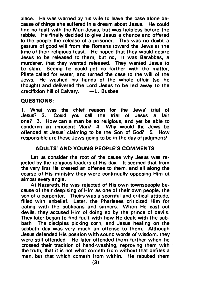place. He was warned by his wife to leave the case alone because of things she suffered in a dream about Jesus. He could find no fault with the Man Jesus, but was helpless before the rabble. He finally decided to give Jesus a chance and offered to the people the release of a prisoner. This was no doubt a gesture of good will from the Romans toward the Jews at the time of their religious feast. He hoped that they would desire Jesus to be released to them, but no, It was Barabbas, a murderer, that they wanted released. They wanted Jesus to be slain. Seeing he could get no farther with the matter, Pilate called for water, and turned the case to the will of the Jews. He washed his hands of the whole affair (so he thought) and delivered the Lord Jesus to be led away to the crucifixion hill of Calvary. -L. Busbee

#### QUESTIONS:

1. What was the chief reason for the Jews' trial of Jesus? 2. Could you call the trial of Jesus a fair one? 3. How can a man be so religious, and yet be able to condemn an innocent Man? 4. Why would the Jews be offended at Jesus' claiming to be the Son of God? 5. How responsible are these Jews going to be in the day of judgment?

#### ADULTS' AND YOUNG PEOPLE'S COMMENTS

Let us consider the root of the cause why Jesus was rejected by the religious leaders of His day. It seemed that from the very first He created an offense to them, and all along the course of His ministry they were continually opposing Him at almost every angle.

At Nazareth, He was rejected of His own townspeople because of their despising of Him as one of their own people, the son of a carpenter. Theirs was a scornful and critical attitude, filled with unbelief. Later, the Pharisees criticized Him for eating with the publicans and sinners. When He cast out devils, they accused Him of doing so by the prince of devils. They later began to find fault with how He dealt with the sabbath. The disciples picking corn, and Jesus healing on the sabbath day was very much an offense to them. Although Jesus defended His position with sound words of wisdom, they were still offended. He later offended them farther when he crossed their tradition of hand-washing, reproving them with · the truth, that it is not what cometh from without that defiles a man, but that which cometh from within. He rebuked them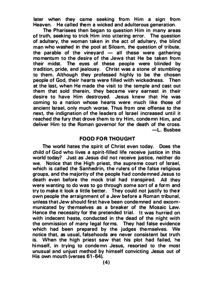later when they came seeking from Him a sign from Heaven. He called them a wicked and adulterous generation.

The Pharisees then began to question Him in many areas of truth, seeking to trick Him into uttering error. The question of adultery, the woman taken in the act of adultery, the blind man who washed in the pool at Siloam, the question of tribute, the parable of the vineyard  $-$  all these were gathering momentum to the desire of the Jews that He be taken from their midst. The eyes of these people were blinded by tradition, pride, and jealousy. Christ was a stone of stumbling to them. Although they professed highly to be the chosen people of God, their hearts were filled with wickedness. Then at the last, when He made the visit to the temple and cast out them that sold therein, they became very earnest in their desire to have Him destroyed. Jesus knew that He was coming to a nation whose hearts were much like those of ancient Israel, only much worse. Thus from one offense to the next, the indignation of the leaders of Israel increased until it reached the fury that drove them to try Him, condemn Him, and deliver Him to the Roman governor for the death of the cross. -L. Busbee

#### FOOD FOR THOUGHT

The world hates the spirit of Christ even today. Does the child of God who lives a spirit-filled life receive justice in this world today? Just as Jesus did not receive justice, neither do we. Notice that the High priest, the supreme court of Israel, which is called the Sanhedrin, the rulers of the false religious groups, and the majority of the people had condemned Jesus to death even before the mock trial had transpired. All they were wanting to do was to go through some sort of a form and try to make it look a little better. They could not justify to their own people the arraignment of a Jew before a Roman tribunal, unless that Jew should first have been condemned and excommunicated by themselves as a breaker of the Mosaic Law. Hence the necessity for the pretended trial. It was hurried on with indecent haste, conducted in the dead of the night with the ommission of many legal forms. They had false evidence which had been prepared by the judges themselves. We notice that, as usual, falsehoods are never consistent but truth is. When the high priest saw that his plot had failed, he himself, in trying to condemn Jesus, resorted to the most unusual and unjust method by himself convicting Jesus out of His own mouth (verses 61-64).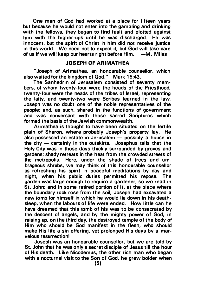One man of God had worked at a place for fifteen years but because he would not enter into the gambling and drinking with the fellows, they began to find fault and plotted against him with the higher-ups until he was discharged. He was innocent, but the spirit of Christ in him did not receive justice in this world. We need not to expect it, but God will take care of us if we will keep our hearts right before  $\text{Him.} \quad -\text{M.}$  Miles

#### JOSEPH OF ARIMATHEA

"Joseph of Arimathea, an honourable counsellor, which also waited for the kingdom of God." Mark 15:43.

The Sanhedrin of Jerusalem consisted of seventy members, of whom twenty-four were the heads of the Priesthood. twenty-four were the heads of the tribes of Israel, representing the laity, and twenty-two were Scribes learned in the law. Joseph was no doubt one of the noble representatives of the people; and, as such, shared in the functions of government and was conversant with those sacred Scriptures which formed the basis of the Jewish commonwealth.

Arimathea is thought to have been situated on the fertile plain of Sharon, where probably Joseph's property lay. He also possessed an estate in Jerusalem  $-$  possibly a house in the city  $-$  certainly in the outskirts. Josephus tells that the Holy City was in those days thickly surrounded by groves and gardens; shady retreats in the heat from the crowded streets of the metropolis. Here, under the shade of trees and umbrageous shrubs, we may think of this honourable counsellor as refreshing his spirit in peaceful meditations by day and night, when his public duties permitted his repose. The garden was large enough to require a gardener, so we read in St. John; and in some retired portion of it, at the place where the boundary rock rose from the soil, Joseph had excavated a new tomb for himself in which he would lie down in his deathsleep, when the labours of life were ended. How little can he have dreamed that this tomb of his was to be consecrated by the descent of angels, and by the mighty power of God, in raising up, on the third day, the destroyed temple of the body of Him who should be God manifest in the flesh, who should make His life a sin offering, yet prolonged His days by a marvelous resurrection!

Joseph was an honourable counsellor, but we are told by St. John that he was only a secret disciple of Jesus till the hour of His death. Like Nicodemus, the other rich man who began with a nocturnal visit to the Son of God, he grew bolder when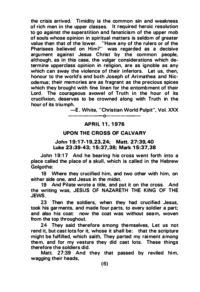the crisis arrived. Timidity is the common sin and weakness of rich men in the upper classes. It required heroic resolution to go against the superstition and fanaticism of the upper mob of souls whose opinion in spiritual matters is seldom of greater value than that of the lower. "Have any of the rulers or of the Pharisees believed on Him?" was regarded as a decisive argument against Jesus Christ by the common people, although, as in this case, the vulgar considerations which determine upperclass opinion in religion, are as ignoble as any which can sway the violence of their inferiors. Let us, then, honour to the world's end both Joseph of Arimathea and Nicodemus: their memories are as fragrant as the precious spices which they brought with fine linen for the entombment of their Lord. The courageous avowal of Truth in the hour of its crucifixion, deserves to be crowned along with Truth in the hour of its triumph.

-E . White, "Christian World Pulpit", Vol. XXX

### -------0------- APRIL 11. 1 976

#### UPON THE CROSS OF CALVARY

#### John 19:17-19.23.24; Matt. 27:39.40 Luke 23:39-43; 15:37,38; Mark 15:37.38

John 19:17 And he bearing his cross went forth into a place called the place of a skull, which is called in the Hebrew Golgotha:

18 Where they crucified him, and two other with him, on either side one, and Jesus in the midst.

19 And Pilate wrote a title, and put it on the cross. And the writing was, JESUS OF NAZARETH THE KING OF THE JEWS .

23 Then the soldiers, when they had crucified Jesus, took his garments, and made four parts, to every soldier a part; and also his coat: now the coat was without seam, woven from the top throughout.

24 They said therefore among themselves, Let us not rend it, but cast lots for it, whose it shall be: that the scripture might be fulfilled, which saith, They parted my raiment among them, and for my vesture they did cast lots. These things therefore the soldiers did.

Matt. 27:39 And they that passed by reviled him, wagging their heads,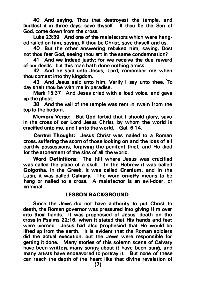40 And saying, Thou that destroyest the temple, a nd buildest it in three days, save thyself. If thou be the Son of God, come down from the cross.

Luke 23:39 And one of the malefactors which were hanged railed on him, saying, If thou be Christ, save thyself and us.

40 But the other answering rebuked him, saying, Dost not thou fear God, seeing thou art in the same condemnation?

41 And we indeed justly; for we receive the due reward of our deeds: but this man hath done nothing amiss.

42 And he said unto Jesus, Lord, remember me when thou comest into thy kingdom.

43 And Jesus said unto him, Verily I say unto thee, To day shalt thou be with me in paradise.

Mark 15:37 And Jesus cried with a loud voice, and gave up the ghost.

38 And the vail of the temple was rent in twain from the top to the bottom.

Memory Verse: But God forbid that I should glory, save in the cross of our Lord Jesus Christ, by whom the world is crucified unto me, and I unto the world. Gal. 6:1 4.

Central Thought: Jesus Christ was nailed to a Roman cross, suffering the scorn of those looking on and the loss of all earthly possessions, forgiving the penitent thief, and He died for the atonement of the sins of all the world.

Word Definitions: The hill where Jesus was crucified was called the place of a skull. In the Hebrew it was called Golgotha. in the Greek, it was called Cranium, and in the Latin, it was called Calvary. The word crucify means to be hung or nailed to a cross. A malefactor is an evil-doer, or criminal.

#### LESSON BACKGROUND

Since the Jews did not have authority to put Christ to death, the Roman governor was pressured into giving Him over into their hands. It was prophesied of Jesus' death on the cross in Psalms 22:16, when it stated that His hands and feet were pierced. Jesus had also prophesied that He would be lifted up from the earth. It is evident that the Roman soldiers did the actual execution, but the Jews were responsible for getting it done. Many stories of this solemn scene of Calvary have been written, many songs about it have been sung, and many artists have endeavored to portray it. But none of these can reach the depth of the heart like that divine revelation of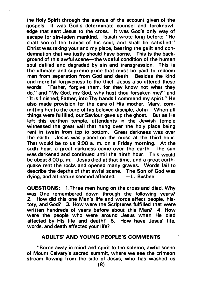the Holy Spirit through the avenue of the account given of the gospels. It was God's determinate counsel and foreknowledge that sent Jesus to the cross. It was God's only way of escape for sin-laden mankind. Isaiah wrote long before: "He shall see of the travail of his soul, and shall be satisfied." Christ was taking your and my place, bearing the guilt and condemnation that we justly should have borne. This is the background of this awful scene-the woeful condition of the human soul defiled and degraded by sin and transgression. This is the ultimate and supreme price that must be paid to redeem man from separation from God and death. Besides the kind and merciful forgiveness to the thief, Jesus also uttered these words: "Father, forgive them, for they know not what they do," and "My God, my God, why hast thou forsaken me?" and "It is finished; Father, into Thy hands I commend my spirit." He also made provision for the care of His mother, Mary, committing her to the care of his beloved disciple, John. When all things were fulfilled, our Saviour gave up the ghost. But as He left this earthen temple, attendants in the Jewish temple witnessed the great vail that hung over the holy place being rent in twain from top to bottom. Great darkness was over the earth. Jesus was placed on the cross at the third hour. That would be to us 9:00 a. m. on a Friday morning. At the sixth hour, a great darkness came over the earth. The sun was darkened and continued until the ninth hour. This would be about 3:00 p.m. Jesus died at that time, and a great earthquake rent the rocks and opened many graves. Words fail to describe the depths of that awful scene. The Son of God was dying, and all nature seemed affected.  $-L$ . Busbee

QUESTIONS: 1 .Three men hung on the cross and died. Why was One remembered down through the following years? 2. How did this one Man's life and words affect people, history, and God? 3. How were the Scriptures fulfilled that were written hundreds of years before about this Man? 4. How were the people who were around Jesus when He died affected by His life and death? 5. How have Jesus' life, words, and death affected your life?

#### ADULTS' AND YOUNG PEOPLE'S COMMENTS

"Borne away in mind and spirit to the solemn, awful scene of Mount Calvary's sacred summit, where we see the crimson stream flowing from the side of Jesus, who has washed us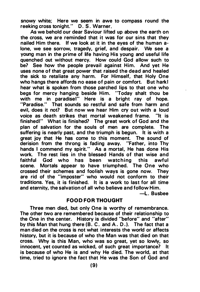snowy white; Here we seem in awe to compass round the reeking cross tonight." D. S. Warner.

As we behold our dear Saviour lifted up above the earth on the cross, we are reminded that it was for our sins that they nailed Him there. If we look at it in the eyes of the human alone, we see sorrow, tragedy, grief, and despair. We see a young man in the prime of life having His young and useful life quenched out without mercy. How could God allow such to be? See how the people prevail against Him. And yet He uses none of that great power that raised the dead and healed the sick to retaliate any harm. For Himself, that Holy One who hangs there affords no ease of pain or comfort. But hark! hear what is spoken from those parched lips to that one who begs for mercy hanging beside Him. "Today shalt thou be with me in paradisel" Here is a bright ray of hope. "Paradise." That sounds so restful and safe from harm and evil, does it not? But now we hear Him cry out with a loud voice as death strikes that mortal weakened frame. "It is finished!" What is finished? The great work of God and the plan of salvation for the souls of men are complete. The suffering is nearly past, and the triumph is begun. It is with a great joy that He has come to this moment. The sound of derision from the throng is fading away. "Father, into Thy hands I commend my spirit." As a mortal, He has done His work. The rest lies in the blessed Hands of that wise and<br>faithful God who has been watching this awful faithful God who has been watching this awful scene. Mortals appear to have triumphed. The One who crossed their schemes and foolish ways is gone now. They are rid of the "imposter" who would not conform to their traditions. Yes, it is finished. It is a work to last for all time and eternity, the salvation of all who believe and follow Him.

-L. Busbee

#### **FOOD FOR THOUGHT**

Three men died, but only One is worthy of remembrance. The other two are remembered because of their relationship to the One in the center. History is divided "before" and "after" by this Man that hung there  $(B, C, and A, D.)$ . The fact that a man died on the cross is not what interests the world or affects history, but it is because of who the Man was that died on that cross. Why is this Man, who· was so great, yet so lowly, so innocent, yet counted as wicked, of such great importance? It is because of who He is and why He died. The world, at that time, tried to ignore the fact that He was the Son of God and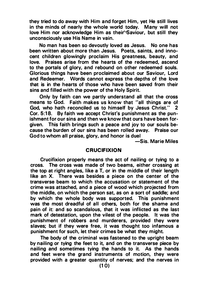they tried to do away with Him and forget Him, yet He still lives in the minds of nearly the whole world today. Many will not love Him nor acknowledge Him as their<sup>t</sup> Saviour, but still they unconsciously use His Name in vain.

No man has been so devoutly loved as Jesus. No one has been written about more than Jesus. Poets, saints, and innocent children glowingly proclaim His greatness, beauty, and love. Praises arise from the hearts of the redeemed, ascend to the portals of glory, and rebound on other redeemed souls. Glorious things have been proclaimed about our Saviour, Lord and Redeemer. Words cannot express the depths of the love that is in the hearts of those who have been saved from their sins and filled with the power of the Holy Spirit.

Only by faith can we partly understand all that the cross means to God. Faith makes us know that "all things are of God, who hath reconciled us to himself by Jesus Christ." 2 Cor. 5:18. By faith we accept Christ's punishment as the punishment for our sins and then we know that ours have been forgiven. This faith brings such a peace and joy to our souls because the burden of our sins has been rolled away. Praise our God to whom all praise, glory, and honor is duel

-Sis. Marie Miles

#### **CRUCIFIXION**

Crucifixion properly means the act of nailing or tying to a cross. The cross was made of two beams, either crossing at the top at right angles, like a T, or in the middle of their length like an X. There was besides a piece on the center of the transverse beam to which the accusation or statement of the crime was attached, and a piece of wood which projected from the middle, on which the person sat, as on a sort of saddle; and by which the whole body was supported. This punishment was the most dreadful of all others, both for the shame and pain of it: and so scandalous, that it was inflicted as the last mark of detestation, upon the vilest of the people. It was the punishment of robbers and murderers, provided they were slaves; but if they were free, it was thought too infamous a punishment for such, let their crimes be what they might.

The body of the criminal was fastened to the upright beam by nailing or tying the feet to it, and on the transverse piece by nailing and sometimes tying the hands to it. As the hands and feet were the grand instruments of motion, they were provided with a greater quantity of nerves; and the nerves in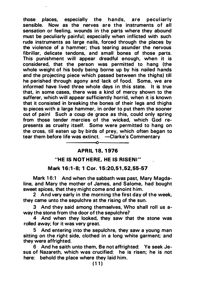those places, especially the hands, are peculiarly sensible. Now as the nerves are the instruments of all sensation or feeling, wounds in the parts where they abound must be peculiarly painful; especially when inflicted with such rude instruments as large nails, forced through the places by the violence of a hammer; thus tearing asunder the nervous fibrillar, delicate tendons, and small bones of those parts. This punishment will appear dreadful enough, when it is considered, that the person was permitted to hang (the whole weight of his body being borne up by his nailed hands and the projecting piece which passed between the thighs) till he perished through agony and lack of food. Some, we are informed have lived three whole days in this state. It is true that, in some cases, there was a kind of mercy shown to the sufferer, which will appear sufficiently horrid, when it is known that it consisted in breaking the bones of their legs and thighs to pieces with a large hammer, in order to put them the sooner out of painl Such a coup de grace as this, could only spring from those tender mercies of the wicked, which God represents as cruelty itself. Some were permitted to hang on the cross, till eaten up by birds of prey, which often began to tear them before life was extinct. —Clarke's Commentary

#### **APRIL 18, 1976**

--------�0------

#### "HE IS NOT HERE, HE IS RISENI"

#### Mark 16:1-8; 1 Cor. 15:20,51,52,55-57

Mark 16:1 And when the sabbath was past, Mary Magdaline, and Mary the mother of James, and Salome, had bought sweet spices, that they might come and anoint him.

2 And very early in the morning the first day of the week, they came unto the sepulchre at the rising of the sun.

3 And they said among themselves, Who shall roll us away the stone from the door of the sepulchre?

4 And when they looked, they saw that the stone was rolled away; for it was very great.

5 And entering into the sepulchre, they saw a young man sitting on the right side, clothed in a long white garment; and they were affrighted.

6 And he saith unto them, Be not affrighted: Ye seek Jesus of Nazareth, which was crucified: he is risen; he is not here: behold the place where they laid him.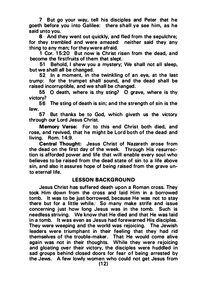7 But go your way, tell his disciples and Peter that he goeth before you into Galilee: there shall ye see him, as he said unto you.

8 And they went out quickly, and fled from the sepulchre; for they trembled and were amazed: neither said they any thing to any man; for they were afraid.

1 Cor. 15:20 But now is Christ risen from the dead, and become the firstfruits of them that slept.

51 Behold, I shew you a mystery; We shall not all sleep, but we shall all be changed.

52 In a moment, in the twinkling of an eye, at the last trump: for the trumpet shall sound, and the dead shall be raised incorruptible, and we shall be changed.

55 0 death, where is thy sting? 0 grave, where is thy victory?

56 The sting of death is sin; and the strength of sin is the law.

57 But thanks be to God, which giveth us the victory through our Lord Jesus Christ.

Memory Verse: For to this end Christ both died, and rose, and revived, that he might be Lord both of the dead and living. Rom. 1 4:9.

Central Thought: Jesus Christ of Nazareth arose from the dead on the first day of the week. Through His resurrection is afforded power and life that will enable every soul who believes to be raised from the dead state of sin to a life above sin, and also it assures hope of being raised from the grave unto eternal life.

#### LESSON BACKGROUND

Jesus Christ has suffered death upon a Roman cross. They took Him down from the cross and laid Him in a borrowed tomb. It was to be just borrowed, because He was not to stay there but for a little while.· So many make strife and issue concerning just how long Jesus was in the tomb. Such is needless striving. We know that He died and that He was laid in a tomb. It was even as Jesus had forewarned His disciples. They were weeping and the world was rejoicing. The Jewish leaders were triumphant in their feeling that they had rid themselves of the trouble-maker. That He would come alive again was not in their thoughts. While they were rejoicing and gloating over their victory, the disciples were huddled in sad groups behind closed doors for fear of being arrested by the Jews. A few lowly women who could not get Jesus from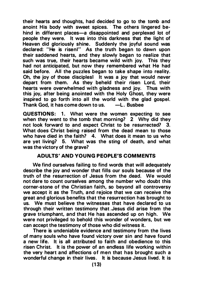their hearts and thoughts, had decided to go to the tomb and anoint His body with sweet spices. The others lingered behind in different places-a disappointed and perplexed lot of people they were. It was into this darkness that the light of Heaven did gloriously shine. Suddenly the joyful sound was declared: "He is risenl" As the truth began to dawn upon their saddened hearts, and they slowly began to realize that such was true, their hearts became wild with joy. This they had not anticipated, but now they remembered what He had said before. All the puzzles began to take shape into reality. Oh, the joy of those disciples! It was a joy that would never depart from them. As they beheld their risen Lord, their hearts were overwhelmed with gladness and joy. Thus with this joy, after being anointed with the Holy Ghost, they were inspired to go forth into all the world with the glad gospel. Thank God, it has come down to us.

QUESTIONS: 1. What were the women expecting to see when they went to the tomb that morning?  $2$  Why did they not look forward to and expect Christ to be resurrected? 3. What does Christ being raised from the dead mean to those who have died in the faith? 4. What does it mean to us who are yet living? 5. What was the sting of death, and what was the victory of the grave?

#### ADULTS' AND YOUNG PEOPLE'S COMMENTS

We find ourselves failing to find words that will adequately describe the joy and wonder that fills our souls because of the truth of the resurrection of Jesus from the dead. We would not dare to count ourselves among the number who doubt this corner-stone of the Christian faith, so· beyond all controversy we accept it as the Truth, and rejoice that we can receive the great and glorious benefits that the resurrection has brought to us. We must believe the witnesses that have declared to us through their written testimony that .Jesus did arise from the grave triumphant, and that He has ascended up on high. We were not privileged to behold this wonder of wonders, but we can accept the testimony of those who did witness it.

There is undeniable evidence and testimony from the lives of many souls who have found victory over sin and have found a new life. It is all attributed to faith and obedience to this risen Christ. It is the power of an endless life working within the very heart and affections of men that has brought such a wonderful change in their lives. It is because Jesus lived. It is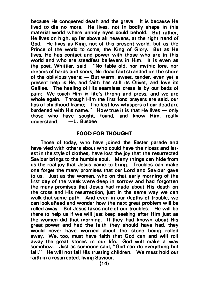because He conquered death and the grave. It is because He lived to die no more. He lives, not in bodily shape in this material world where unholy eyes could behold. But rather, He lives on high, up far above all heavens, at the right hand of God. He lives as King, not of this present world, but as the Prince of the world to come, the King of Glory. But as He lives, He has contact and power with those who are in this world and who are steadfast believers in Him. It is even as the poet, Whittier, said: "No fable old, nor mythic lore, nor dreams of bards and seers; No dead fact stranded on the shore of the oblivious vears:  $-$  But warm, sweet, tender, even yet a present help is He, and faith has still its Olivet, and love its Galilee. The healing of His seamless dress is by our beds of pain; We touch Him in life's throng and press, and we are whole again. Through Him the first fond prayers are said, our lips of childhood frame; The last low whispers of our dead are burdened with His name." How true it is that He lives  $-$  only those who have sought, found, and know Him, really understand -L. Busbee

#### FOOD FOR THOUGHT

Those of today, who have joined the Easter parade and have vied with others about who could have the nicest and latest in the style of clothes, have lost the joy that the resurrected Saviour brings to the humble soul. Many things can hide from us the real joy that Jesus came to bring. Troubles can make one forget the many promises that our Lord and Saviour gave to us. Just as the women, who on that early morning of the first day of the week were deep in sorrow and had forgotten the many promises that Jesus had made about His death on the cross and His resurrection, just in the same way we can walk that same path. And even in our depths of trouble, we can look afiead and wonder how the next great problem will be rolled away. But Jesus takes note of our troubles. He will be there to help us if we will just keep seeking after Him just as the women did that morning. If they had known about His great power and had the faith they should have had, they would never have worried about the stone being rolled away. We, too, must have faith that God can and will roll away the great stones in our life. God will make a way somehow. Just as someone said, "God can do everything but fail." He will not fail His trusting children. We must hold our faith in a resurrected, living Saviour.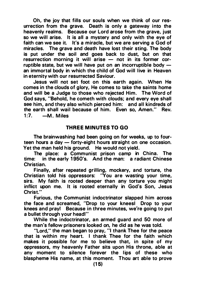Oh, the joy that fills our souls when we think of our resurrection from the grave. Death is only a gateway into the heavenly realms. Because our Lord arose from the grave, just so we will arise. It is all a mystery and only with the eye of faith can we see it. It's a miracle, but we are serving a God of miracles. The grave and death have lost their sting. The body is put under the soil and goes back to dust, but on that  $resurrection$  morning it will arise  $-$  not in its former corruptible state, but we will have put on an incorruptible body  $$ an immortal body in which the child of God will live in Heaven in eternity with our resurrected Saviour.

Jesus will not set foot on this earth again. When He comes in the clouds of glory, He comes to take the saints home and will be a Judge to those who rejected Him. The Word of God says, "Behold, he cometh with clouds; a nd every eye shall see him, and they also which pierced him: and all kindreds of the earth shall wail because of him. Even so, Amen." Rev.  $1:7.$  -M. Miles

#### THREE MINUTES TO GO

The brainwashing had been going on for weeks, up to fourteen hours a day  $-$  forty-eight hours straight on one occasion. Yet the man held his ground. He would not vield.

The place: a Communist prison camp in China. The time: in the early 1950's. And the man: a radiant Chinese Christian.

Finally, after repeated grilling, mockery, and torture, the Christian told his oppressors: "You are wasting your time, sirs. My faith is rooted deeper than any torture you might inflict upon me. It is rooted eternally in God's Son, Jesus Christ."

Furious, the Communist indoctrinator slapped him across the face and screamed, "Drop to your kneesl Drop to your knees and pray! Because in three minutes, we're going to put a bullet through your head!"

While the indoctrinator, an armed guard and 50 more of the man's fellow prisoners looked on, he did as he was told.

"Lord," the man began to pray, "I thank Thee for the peace that is within my heart. I thank Thee for the faith which makes it possible for me to believe that, in spite of my op pressors, my heavenly Father sits upon His throne, able at any moment to silence forever the lips of these who blaspheme His name, at this moment. Thou art able to prove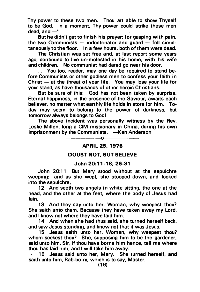Thy power to these two men. Thou art able to show Thyself to be God. In a moment, Thy power could strike these men dead, and  $-$ "

But he didn't get to finish his prayer; for gasping with pain, the two Communists  $-$  indoctrinator and guard  $-$  fell simultaneously to the floor. In a few hours, both of them were dead.

The Christian was set free and, at last report some years ago, continued to live un-molested in his home, with his wife and children. No communist had dared go near his door.

. . . You too, reader, may one day be required to stand before Communists or other godless men to confess your faith in  $Christ - at the threat of your life. You may lose your life for$ your stand, as have thousands of other heroic Christians.

But be sure of this: God has not been taken by surprise. Eternal happiness, in the presence of the Saviour, awaits each believer, no matter what earthly life holds in store for him. Today may seem to belong to the power of darkness, but tomorrow always belongs to Godl

The above incident was personally witness by the Rev. l eslie Millen, long a CIM missionary in China, during his own imprisonment by the Communists. —Ken Anderson

---o---

#### APRil 25. 1 976

#### DOUBT NOT. BUT BELIEVE

#### John 20:11-18: 26-31

John 20:11 But Mary stood without at the sepulchre weeping: and as she wept, she stooped down, and looked into the sepulchre.

12 And seeth two angels in white sitting, the one at the head, and the other at the feet, where the body of Jesus had lain.

13 And they say unto her, Woman, why weepest thou? She saith unto them, Because they have taken away my lord, and I know not where they have laid him.

14 And when she had thus said, she turned herself back, and saw Jesus standing, and knew not that it was Jesus.

15 Jesus saith unto her, Woman, why weepest thou? whom seekest thou? She, supposing him to be the gardener, said unto him, Sir, if thou have borne him hence, tell me where thou has laid him, and I will take him away.

16 Jesus said unto her, Mary. She turned herself, and saith unto him, Rab-bo-ni; which is to say, Master.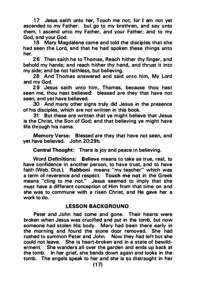17 Jesus saith unto her, Touch me not; for I am not yet ascended to my Father: but go to my brethren, and say unto them, I ascend unto my Father, and your Father; and to my God, and your God.

18 Mary Magdalene came and told the disciples that she had seen the Lord, and that he had spoken these things unto her.

26 Then saith he to Thomas, Reach hither thy finger, and behold my hands; and reach hither thy hand, and thrust it into my side; and be not faithless, but believing.

28 And Thomas answered and said unto him, My Lord and my God.

29 Jesus saith unto him, Thomas, because thou hast seen me, thou hast believed': blessed are they that have not seen, and yet have believed.

30 And many other signs truly did Jesus in the presence of his disciples, which are not written in this book.

31 But these are written that ye m ight believe that Jesus is the Christ, the Son of God; and that believing ye might have life through his name.

Memory Verse: Blessed are they that have not seen, and yet have believed. John 20:29b.

Central Thought: There is joy and peace in believing.

Word Definitions: Believe means to take as true, real, to have confidence in a nother person, to have trust, a nd to have faith (Web. Dict.). Rabboni means "my teacher" which was a term of reverence and respect. Touch me not in the Greek means "cling to me not." Jesus seemed to imply that she must have a different conception of Him from that time on and she was to commune with a risen Christ, and He gave her a work to do.

#### LESSON BACKGROUND

Peter and John had come and gone. Their hearts were broken when Jesus was crucified a nd put in the tomb, but now someone had stolen His body. Mary had been there early in the morning and found the stone door removed. She had rushed to summon Peter and John. Now they had left but she could not leave. She is heart-broken and in a state of bewilderment. She wanders all over the garden and ends up back at the tomb. In her grief, she, bends down again and looks in the tomb. The angels speak to her and she is so distraught in her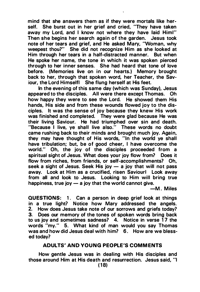mind that she answers them as if they were mortals like herself. She burst out in her grief and cried, "They have taken away my Lord, and I know not where they have laid Himl" Then she begins her search again of the garden. Jesus took note of her tears and grief, and He asked Mary, "Woman, why weepest thou?" She did not recognize Him as she looked at Him through her tears in a half-distracted manner. But when He spoke her name, the tone in which it was spoken pierced through to her inner senses. She had heard that tone of love before. (Memories live on in our hearts.) Memory brought back to her, through that spoken word, her Teacher, the Saviour, the Lord Himselfl She flung herself at His feet.

In the evening of this same day (which was Sunday), Jesus appeared to the disciples. All were there except Thomas. Oh how happy they were to see the Lord. He showed them His hands, His side and from these wounds flowed joy to the disciples. It was the sense of joy because they knew His work was finished and completed. They were glad because He was their living Saviour. He had triumphed over sin and death. "Because I live, ye shall live also." These words no doubt came rushing back to their minds and brought much joy. Again, they may have thought of His words. "In the world ye shall have tribulation; but, be of good cheer, I have overcome the world." Oh, the joy of the disciples proceeded from a spiritual sight of Jesus. What does your joy flow from? Does it flow from riches, from friends, or self-accomplishments? Oh, seek a sight of Jesus. Seek His joy  $-$  a joy that will not pass away. Look at Him as a crucified, risen Saviourl Look away from all and look to Jesus. Looking to Him will bring true happiness, true  $i$ oy  $-$  a joy that the world cannot give.

 $-M$ . Miles

QUESTIONS: 1. Can a person in deep grief look at things in a true light? Notice how Mary addressed the angels. 2. How does Jesus take note of our sorrows and griefs today? 3. Does our memory of the tones of spoken words bring back to us joy and sometimes sadness? 4. Notice in verse 17 the words "my." 5. What kind of man would you say Thomas was and how did Jesus deal with him? 6. How are we blessed today?

#### ADULTS' AND YOUNG PEOPLE'S COMMENTS

How gentle Jesus was in dealing with His disciples and those around Him at His death and resurrection. Jesus said, "I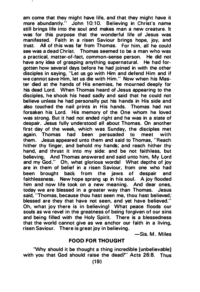am come that they might have life, and that they might have it more abundantly." John 10:10. Believing in Christ's name still brings life into the soul and makes man a new creature. It was for this purpose that the wonderful life of Jesus was manifested. Faith in a risen Saviour brings hope, joy, and trust. All of this was far from Thomas. For him, all he could see was a dead Christ. Thomas seemed to be a man who was a practical, matter-of-fact, common-sense person. He did not have any idea of grasping anything supernatural. He had forgotten how several days before he had joined in with the other disciples in saying, "Let us go with Him and defend Him and if we cannot save Him, let us die with Him." Now when his Master died at the hands of His enemies, he mourned deeply for his dead Lord. When Thomas heard of Jesus appearing to the disciples, he shook his head sadly and said that he could not believe unless he had personally put his hands in His side and also touched the nail prints in His hands. Thomas had not forsaken his Lord. His memory of the One whom he loved was strong. But it had not ended right and he was in a state of despair. Jesus fully understood all about Thomas. On another first day of the week, which was Sunday, the disciples met again. Thomas had been persuaded to meet with them. Jesus appeared unto them and said to Thomas, "Reach hither thy finger, and behold my hands; and reach hither thy hand, and thrust it into my side: and be not faithless, but believing. And Thomas answered and said unto him, My Lord and my God." Oh, what glorious words! What depths of joy are in them of belief in a risen Saviour, from one who had been brought back from the jaws of despair and faithlessness. New hope sprang up in his soul. A joy flooded him and now life took on a new meaning. And dear ones, today we are blessed in a greater way than Thomas. Jesus said, "Thomas, because thou hast seen me, thou hast believed; blessed are they that have not seen, and yet have believed." Oh, what joy there is in believing! What peace floods our souls as we revel in the greatness of being forgiven of our sins and being filled with the Holy Spirit. There is a blessedness that the world cannot give as we anchor our faith in a living, risen Saviour. There is great joy in believing.

 $-Sis. M.$  Miles

#### FOOD FOR THOUGHT

'Why should it be thought a thing incredible [unbelievable] with you that God should raise the dead?" Acts 26:8. Thus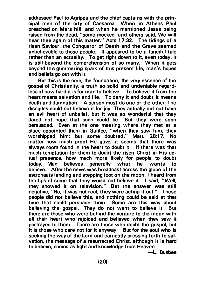addressed Paul to Agrippa and the chief captains with the principal men of the city of Caesarea. When in Athens Paul preached on Mars hill, and when he mentioned Jesus being raised from the dead, "some mocked, and others said, We will hear thee again of this matter." Acts 17:32. The tidings of a risen Saviour, the Conqueror of Death and the Grave seemed unbelievable to those people. It appeared to be a fanciful tale rather than an actuality. To get right down to it, even today, it is still beyond the comprehension of so many. When it gets beyond the glimmering spark of this present life, man's hopes and beliefs go out with it.

But this is the core, the foundation, the very essence of the gospel of Christianity, a truth so solid and undeniable regardless of how hard it is for man to believe. To believe it from the heart means salvation and life. To deny it and doubt it means death and damnation. A person must do one or the other. The disciples could not believe it for joy. They actually did not have an evil heart of unbelief, but it was so wonderful that they dared not hope that such could be. But they were soon persuaded. Even at the one meeting where they met at a place appointed them in Galilee, "when they saw him, they worshipped him: but some doubted." Matt. 28:17. No matter how much proof He gave, it seems that there was always room found in the heart to doubt it. If there was that much temptation for them to doubt the risen Christ in His actual presence, how much more likely for people to doubt today. Man believes generally what he wants to believe. After the news was broadcast across the globe of the astronauts landing and stepping foot on the moon, I heard from the lips of some that they would not believe it. I said, "Well, they showed it on television." But the answer was still negative, "No, it was not real, they were acting it out." These people did not believe this, a nd nothing could be said at that time that could persuade them. Some are this way about believing the gospel. They do not want to believe it. But there are those who were behind the venture to the moon with all their heart who rejoiced and believed when they saw it portrayed to them. There are those who doubt the gospel, but it is those who care not for it anyway. But for the soul who is seeking the way of the Lord and earnestly pressing forth to salvation, the message of a resurrected Christ, although it is hard to believe, comes as light and knowledge from Heaven.

-L. Busbee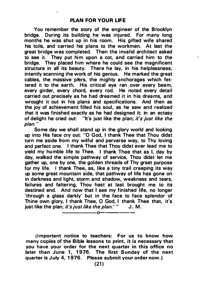You remember the story of the engineer of the Brooklyn bridge. During its building he was injured. For many long months he was shut up in his room. His gifted wife shared his toils, and carried his plans to the workmen. At last the great bridge was completed. Then the invalid architect asked to see it. They put him upon a cot, and carried him to the bridge. They placed him where he could see the magnificent structure in all its beauty. There he lay, in his helplessness, intently scanning the work of his genius. He marked the great cables, the massive piers, the mighty anchorages which fettered it to the earth. His critical eye ran over every beam, every girder, every chord, every rod. He noted every detail carried out precisely as he had dreamed it in his dreams, and wrought it out in his plans and specifications. And then as the joy of achievement filled his soul, as he saw and realized that it was finished exactly as he had designed it; in an ectasy of delight he cried out: "It's just like the plan; it's just like the plan."

Some day we shall stand up in the glory world and looking up into His face cry out: "0 God, I thank Thee that Thou didst turn me aside from my wilful and perverse way, to Thy loving and perfect one. I thank Thee that Thou didst ever lead me to yield my humble life to Thee. I thank Thee that as I, day by day, walked the simple pathway of service, Thou didst let me gather up, one by one, the golden threads of Thy great purpose for my life. I thank Thee, as, like a tiny trail creeping its way up some great mountain side, that pathway of life has gone on in darkness and light, storm and shadow, weakness and tears, failures and faltering, Thou hast at last brought me to its destined end. And now that I see my finished life, no longer 'through a glass darkly' but in the face to face splendor of Thine own glory, I thank Thee, 0 God, I thank Thee that, it's just like the plan; it's just like the plan.'" J. M.

(Important notice to teachers: For us to know how many copies of the Bible lessons to print, it is necessary that you have your order for the next quarter in this office no later than June 1, 1976. The first Sunday of the next quarter is July 4, 1976. Please submit your order now. )

o--<del>-----</del>--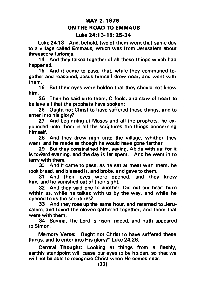#### MAY 2, 1976 ON THE ROAD TO EMMAUS Luke 24:13-16: 25-34

Luke 24:13 And, behold, two of them went that same day to a village called Emmaus, which was from Jerusalem about threescore furlongs.

14 And they talked together of all these things which had happened.

15 And it came to pass, that, while they communed together and reasoned, Jesus himself drew near, and went with them.

16 But their eyes were holden that they should not know him.

25 Then he said unto them, 0 fools, and slow of heart to believe all that the prophets have spoken:

26 Ought not Christ to have suffered these things, and to enter into his glory?

27 And beginning at Moses and all the prophets, he ex pounded unto them in all the scriptures the things concerning himself.

28 And they drew nigh unto the village, whither they went: and he made as though he would have gone farther.

29 But they constrained him, saying, Abide with us: for it is toward evening, and the day is far spent. And he went in to tarry with them.

30 And it came to pass, as he sat at meat with them, he took bread, and blessed it, and broke, and gave to them.

31 And their eyes were opened, and they knew him; and he vanished out of their sight.

32 And they said one to another, Did not our heart burn within us, while he talked with us by the way, and while he opened to us the scriptures?

33 And they rose up the same hour, and returned to Jerusalem, and found the eleven gathered together, and them that were with them,

34 Saying, The Lord is risen indeed, and hath appeared to Simon.

Memory Verse: Ought not Christ to have suffered these things, and to enter into His glory?" Luke 24:26.

Central Thought: Looking at things from a fleshly, earthly standpoint will cause our eyes to be holden, so that we will not be able to recognize Christ when He comes near.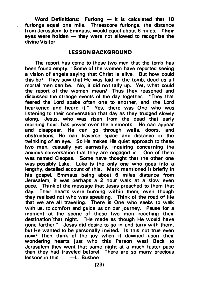Word Definitions: Furlong  $-$  it is calculated that 10 furlongs equal one mile. Threescore furlongs, the distance from Jerusalem to Emmaus, would equal about 6 miles. Their eyes were holden  $-$  they were not allowed to recognize the divine Visitor.

#### LESSON BACKGROUND

The report has come to these two men that the tomb has been found empty. Some of the women have reported seeing a vision of angels saying that Christ is alive. But how could this be? They saw that He was laid in the tomb, dead as all mortal men can be. No, it did not tally up. Yet, what could the report of the women mean? Thus they reasoned and discussed the strange events of the day together. "They that feared the Lord spake often one to another, and the Lord hearkened and heard it." Yes, there was One who was listening to their conversation that day as they trudged slowly along. Jesus, who was risen from the dead that early morning hour, has power over the elements. He can appear and disappear. He can go through walls, doors, and obstructions; He can traverse space and distance in the twinkling of an eye. So He makes His quiet approach to these two men, casually yet earnestly, inquiring concerning the anxious conversation that they are engaged in. One of them was named Cleopas. Some have thought that the other one was possibly Luke. Luke is the only one who goes into a lengthy, detailed account of this. Mark mentioned it briefly in his gospel. Emmaus being about 6 miles distance from Jerusalem, it was perhaps a 2 hour walk at a slow even pace. Think of the message that Jesus preached to them that day. Their hearts were burning within them, even though they realized not who was speaking. Think of the road of life that we are all traveling. There is One who seeks to walk with us, to comfort and guide us on our journey. Pause for a moment at the scene of these two men reaching their destination that night. "He made as though He would have gone farther." Jesus did desire to go in and tarry with them, but He wanted to be personally invited. Is this not true even now? Then think of the joy when it dawned upon their wondering hearts just who this Person wasl Back to Jerusalem they went that same night at a much faster pace than they had traveled beforel There are so many precious  $lessons$  in this.  $-I.$  Busbee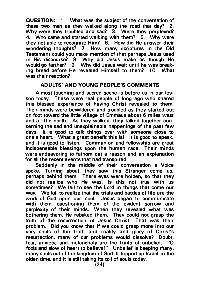QUESTION: 1. What was the subject of the conversation of these two men as they walked along the road that day? 2. Why were they troubled and sad? 3. Were they perplexed? 4. Who came and started walking with them? 5. Why were they not able to recognize Him?  $\overline{6}$ . How did He answer their wondering thoughts? 7. How many scriptures in the Old Testament could you make mention of that perhaps Jesus used in His discourse? 8. Why did Jesus make as though He would go farther? 9. Why did Jesus wait until he was breaking bread before He revealed Himself to them? 10. What was their reaction?

#### ADULTS' AND YOUNG PEOPLE'S COMMENTS

A most touching and sacred scene is before us in our lesson today. These were real people of long ago who shared this blessed experience of having Christ revealed to them. Their minds were bewildered and troubled as they started out on foot toward the little village of Emmaus about 6 miles west and a little north. As they walked, they talked together concerning the sad and unexplainable happenings of the past few days. It is good to talk things over with someone close to one's heart. What a great benefit this isl It is good to speak, and it is good to listen. Communion and fellowship are great indispensable blessings upon the human race. Their minds were endeavoring to fathom out a reason and an explanation for all the recent events that had transpired.

Suddenly in the middle of their conversation a Voice spoke. Turning about, they saw this Stranger come up, perhaps behind them. There eyes were holden, so that they did not realize who He was. Is this not true with us sometimes? We fail to see the Lord in things that come our way. We fail to realize that the trials and battles of life are the work of God upon our soul. Jesus began to communicate with them, questioning them of the evident sorrow and perplexity of their minds. When they revealed what was bothering them, He rebuked them. They could not grasp the truth of the resurrection of Jesus Christ. That was their problem. Did you know that if we could grasp more into our very souls of the truth and reality and glory of Christ's resurrection, many of our problems would dissolve? Doubt, fear, anxiety, and melancholy are the fruits of unbelief. "O fools and slow of heart to believe!" Unbelief is keeping many, many souls out of the kingdom of God. It tripped up Israel in the olden time, and it is still taking its toll of souls today.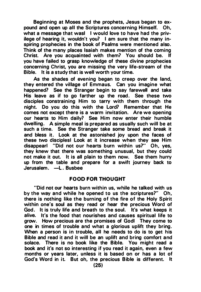Beginning at Moses and the prophets, Jesus began to ex pound and open up all the Scriptures concerning Himself. Oh, what a message that wasl I would love to have had the privilege of hearing it, wouldn't you? I am sure that the many inspiring prophecies in the book of Psalms were mentioned also. Think of the many places Isaiah makes mention of the coming<br>Christ. Are you acquainted with them? You should be. If Christ. Are you acquainted with them? You should be. you have failed to grasp knowledge of these divine prophecies concerning Christ, you are missing the very life-stream of the Bible. It is a study that is well worth your time.

As the shades of evening began to creep over the land, they entered the village of Emmaus. Can you imagine what happened? See the Stranger begin to say farewell and take His leave as if to go farther up the road. See these two disciples constraining Him to tarry with them through the night. Do you do this with the Lord? Remember that He comes not except there is a warm invitation. Are we opening our hearts to Him daily? See Him now enter their humble dwelling. A simple meal is prepared as usually such will be at such a time. See the Stranger take some bread and break it and bless it. Look at the astonished joy upon the faces of these two disciplesl Look at it increase when they see Him disappearl "Did not our hearts burn within us?" Oh, yes, they knew that there was something unusual, but they could not make it out. It is all plain to them now. See them hurry up from the table and prepare for a swift journey back to Jerusalem. -L. Busbee

#### **FOOD FOR THOUGHT**

"Did not our hearts burn within us, while he talked with us by the way and while he opened to us the scriptures?" Oh, there is nothing like the burning of the fire of the Holy Spirit within one's soul as they read or hear the precious Word of God. It is truly life and breath to the soul. It's what keeps it alive. It's the food that nourishes and causes spiritual life to grow. How precious are the promises of Godl They come to one in times of trouble and what a glorious uplift they bring. When a person is in trouble, all he needs to do is to get his Bible and read it and it will be an uplift and bring comfort and solace. There is no book like the Bible. You might read a book and it's not so interesting if you read it again, even a few months or years later, unless it is based on or has a lot of God's Word in it. But oh, the precious Bible is different. It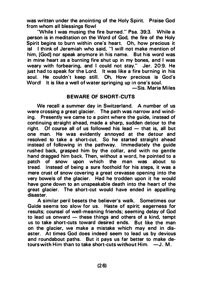was written under the anointing of the Holy Spirit. Praise God from whom all blessings flowl

'While I was musing the fire burned." Psa. 39:3. While a person is in meditation on the Word of God, the fire of the Holy Spirit begins to burn within one's heart. Oh, how precious it isl I think of Jeremiah who said, "I will not make mention of him, [God] nor speak anymore in his name. But his word was in mine heart as a burning fire shut up in my bones, and I was weary with forbearing, and I could not stay." Jer. 20:9. He just had to speak for the Lord. It was like a fire burning in his soul. He couldn't keep still. Oh, How precious is God's Word! It is like a well of water springing up in one's soul.

 $-Sis.$  Marie Miles

#### BEWARE OF SHORT-CUTS

We recall a summer day in Switzerland. A number of us were crossing a great glacier. The path was narrow and winding. Presently we came to a point where the guide, instead of continuing straight ahead, made a sharp, sudden detour to the right. Of course all of us followed his lead  $-$  that is, all but one man. He was evidently annoyed at the detour and resolved to take a short-cut. So he started straight ahead instead of following in the pathway. Immediately the quide rushed back, grasped him by the collar, and with no gentle hand dragged him back. Then, without a word, he pointed to a patch of snow upon which the man was about to tread. Instead of being a sure foothold for his steps, it was a mere crust of snow covering a great crevasse opening into the very bowels of the glacier. Had he trodden upon it he would have gone down to an unspeakable death into the heart of the great glacier. The short-cut would have ended in appalling disaster.

A similar peril besets the bel iever's walk. Sometimes our Guide seems too slow for us. Haste of spirit; eagerness for results; counsel of well-meaning friends; seeming delay of God to lead us onward  $-$  these things and others of a kind, tempt us to take short-cuts toward desired ends. But like the man on the glacier, we make a mistake which may end in disaster. At times God does indeed seem to lead us by devious and roundabout paths. But it pays us far better to make detours with Him than to take short-cuts without  $\lim_{n \to \infty}$   $-1$ . M.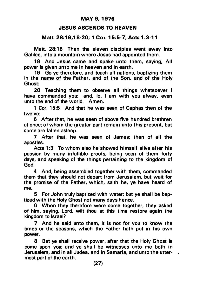#### MAY 9.1976

#### **JESUS ASCENDS TO HEAVEN**

#### Matt. 28:16.18-20: 1 Cor. 15:5-7: Acts 1:3-11

Matt. 28:16 Then the eleven disciples went away into Galilee, into a mountain where Jesus had appointed them.

18 And Jesus came and spake unto them, saying, All power is given unto me in heaven and in earth.

19 Go ye therefore, a nd teach all nations, baptizing them in the name of the Father, and of the Son, and of the Holy Ghost:

20 Teaching them to observe all things whatsoever I have commanded you: and, lo, I am with you alway, even unto the end of the world. Amen.

1 Cor. 15:5 And that he was seen of Cephas then of the twelve:

6 After that, he was seen of above five hundred brethren at once; of whom the greater part remain unto this present, but some are fallen asleep.

7 After that, he was seen of James; then of all the apostles.

Acts 1:3 To whom also he showed himself alive after his passion by many infallible proofs, being seen of them forty days, and speaking of the things pertaining to the kingdom of God:

4 And, being assembled together with them, commanded them that they should not depart from Jerusalem, but wait for the promise of the Father, which, saith he, ye have heard of me.

5 For John truly baptized with water; but ye shall be baptized with the Holy Ghost not many days hence.

6 When they therefore were come together, they asked of him, saying, Lord, wilt thou at this time restore again the kingdom to Israel?

7 And he said unto them, It is not for you to know the times or the seasons, which the Father hath put in his own power.

8 But ye shall receive power, after that the Holy Ghost is come upon you: and ye shall be witnesses unto me both in Jerusalem, and in all Judea, and in Samaria, and unto the uttermost part of the earth.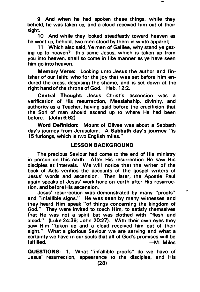9 And when he had spoken these things, while they beheld, he was taken up; and a cloud received him out of their sight.

10 And while they looked steadfastly toward heaven as he went up, behold, two men stood by them in white apparel;

11 Which also said, Ye men of Galilee, why stand ye gazing up to heaven7 this same Jesus, which is taken up from you into heaven, shall so come in like manner as ye have seen him go into heaven.

Memory Verse: Looking unto Jesus the author and finisher of our faith; who for the joy that was set before him endured the cross, despising the shame, and is set down at the right hand of the throne of God. Heb. 12:2.

Central Thought: Jesus Christ's ascension was a verification of His resurrection, Messiahship, divinity, and authority as a Teacher, having said before the crucifixion that the Sori of man should ascend up to where He had been before. (John 6:62)

Word Definition: Mount of Olives was about a Sabbath day's journey from Jerusalem. A Sabbath day's journey "is 15 furlongs, which is two English miles."

#### LESSON BACKGROUND

The precious Saviour had come to the end of His ministry in person on this earth. After His resurrection He saw His disciples at intervals. We will notice that the writer of the book of Acts verifies the accounts of the gospel writers of Jesus' words and ascension. Then later, the Apostle Paul again speaks of Jesus' work here on earth after His resurrection, and before His ascension.

Jesus' resurrection was demonstrated by many "proofs" and "infallible signs." He was seen by many witnesses and they heard Him speak "of things concerning the kingdom of God." They were invited to touch Him, to satisfy themselves that He was not a spirit but was clothed with "flesh and blood." (Luke 24:39; John 20:27). With their own eyes they saw Him "taken up and a cloud received him out of their sight." What a glorious Saviour we are serving and what a certainty we have in our souls that all of God's promises will be  $-M$ . Miles

QUESTIONS: 1. What "infallible proofs" do we have of Jesus' resurrection, appearance to the disciples, and His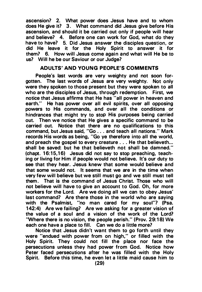ascension? 2. What power does Jesus have and to whom does He give it? 3. What command did Jesus give before His ascension, and should it be carried out only if people will hear and believe? 4. Before one can work for God, what do they have to have? 5. Did Jesus answer the disciples question, or did He leave it for the Holy Spirit to answer it for them? 6. How will Jesus come again and what will He be to us? Will he be our Saviour or our Judge?

#### ADULTS' AND YOUNG PEOPLE'S COMMENTS

People's last words are very weighty and not soon forgotten. The last words of Jesus are very weighty. Not only were they spoken to those present but they were spoken to all who are the disciples of Jesus, through redemption. First, we notice that Jesus affirms that He has "all power in heaven and earth." He has power over all evil spirits, over all opposing powers to His commands, and over all the conditions or hindrances that might try to stop His purposes being carried out. Then we notice that He gives a specific command to be carried out. Notice that there are no qualifications to this command, but Jesus said, "Go . . . and teach all nations." Mark records His words as being, "Go ye therefore into all the world, and preach the gospel to every creature . . . He that believeth... shall be saved: but he that believeth not shall be damned." (chapt. 16:15.16) Jesus did not say to stop preaching, teaching or living for Him if people would not bel ieve. It's our duty to see that they hear. Jesus knew that some would believe and that some would not. It seems that we are in the time when very few will believe but we still must go and we still must tell them. That is the command of Jesus Christ. Those who will not believe will have to give an account to God. Oh, for more workers for the Lord. Are we doing all we can to obey Jesus' last command? Are there those in the world who are saying with the Psalmist, "no man cared for my soul''? (Psa. 1 42:4) Are we failing? Are we asking for a greater vision of the value of a soul and a vision of the work of the Lord? 'Where there is no vision, the people perish." (Prov. 29:18) We each one have a place to fill. Can we do a little more?

Notice that Jesus didn't want them to go forth until they were "endued with power from on high," or filled with the Holy Spirit. They could not fill the place nor face the persecutions unless they had power from God. Notice how Peter faced persecutions after he was filled with the Holy Spirit. Before this time, he even let a little maid cause him to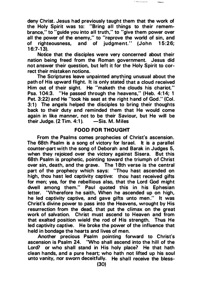deny Christ. Jesus had previously taught them that the work of the Holy Spirit was to: "Bring all things to their remembrance," to "guide you into all truth," to "give them power over all the power of the enemy," to "reprove the world of sin, and of righteousness, and of judgment." (John 15:26;  $16:7-13$ .

Notice that the disciples were very concerned about their nation being freed from the Roman government. Jesus did not answer their question, but left it for the Holy Spirit to correct their mistaken notions.

The Scriptures leave unpainted anything unusual about the path of His upward flight. It is only stated that a cloud received Him out of their sight. He "maketh the clouds his chariot." Psa. 104:3. "He passed through the heavens," (Heb. 4:14; 1) Pet. 3:22) and He "took his seat at the right hand of God." (Col. 3:1) The angels helped the disciples to bring their thoughts back to their duty and reminded them that He would come again in like manner, not to be their Saviour, but He will be their Judge.  $(2$  Tim.  $4:1$ ).  $-$ Sis. M. Miles

#### **FOOD FOR THOUGHT**

From the Psalms comes prophecies of Christ's ascension. The 68th Psalm is a song of victory for Israel. It is a parallel counter-part with the song of Deborah and Barak in Judges 5, when they rejoiced over the victory against Sisera. But this 68th Psalm is prophetic, pointing toward the triumph of Christ over sin, death, and the grave. The 1 8th verse is the central part of the prophecy which says: "Thou hast ascended on high, thou hast led captivity captive: thou hast received gifts for men; yea, for the rebellious also, that the Lord God might dwell among them." Paul quoted this in his Ephesian letter. 'Wherefore he saith, When he ascended up on high, he led captivity captive, and gave gifts unto men." It was Christ's divine power to pass into the Heavens, wrought by His resurrection from the dead, that put the climax on the great work of salvation. Christ must ascend to Heaven and from that exalted position wield the rod of His strength. Thus He led captivity captive. He broke the power of the influence that held in bondage the hearts and lives of men.

Another precious Psalm pointing forward to Christ's ascension is Psalm 24. 'Who shall ascend into the hill of the Lord? or who shall stand in His holy place? He that hath clean hands, and a pure heart; who hath not lifted up his soul unto vanity, nor sworn deceitfully. He shall receive the bless-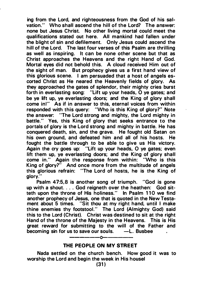ing from the Lord, and righteousness from the God of his salvation." Who shall ascend the hill of the Lord? The answer: none but Jesus Christ. No other living mortal could meet the qualifications stated out here. All mankind had fallen under the blight of sin and defilement. Only Jesus could ascend the hill of the Lord. The last four verses of this Psalm are thrilling as well as inspiring. It can be none other scene but that as Christ approaches the Heavens and the right Hand of God. Mortal eyes did not behold this. A cloud received Him out of the sight of man. But prophecy gives us a first hand view of this glorious scene. I am persuaded that a host of angels escorted Christ as He neared the Heavenly fields of glory. As they approached the gates of splendor, their mighty cries burst forth in everlasting song: "Lift up your heads, 0 ye gates; and be ye lift up, ye everlasting doors; and the King of glory shall come in!" As if in answer to this, eternal voices from within responded with this query: "Who is this King of glory?" Note the answer: "The Lord strong and mighty, the Lord mighty in battle." Yes, this King of glory that seeks entrance to the portals of glory is the Lord strong and mighty in battle. He has conquered death, sin, and the grave. He fought old Satan on his own ground, and defeated him and all of his hosts. He fought the battle through to be able to give us His victory. Again the cry goes up: "Lift up your heads, 0 ye gates; even lift them up, ye everlasting doors; and the King of glory shall come in." Again the response from within: "Who is this King of glory?" And once more from the multitude of angels this glorious refrain: "The Lord of hosts, he is the King of glory."

Psalm 47:5,8 is another song of triumph. "God is gone up with a shout.... God reigneth over the heathen: God sitteth upon the throne of His holiness." In Psalm 110 we find another prophecy of Jesus, one that is quoted in the New Testament about 5 times. "Sit thou at my right hand, until I make thine enemies thy footstool." The Lord (Almighty God) said this to the Lord (Christ). Christ was destined to sit at the right Hand of the throne of the Majesty in the Heavens. This is His great reward for submitting to the will of the Father and becoming sin for us to save our souls.  $-\mathsf{L}$ . Busbee

#### THE PEOPLE ON MY STREET

·---o------

Nada settled on the church bench. How good it was to worship the Lord and begin the week in His housel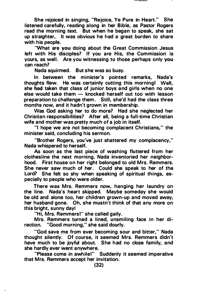She rejoiced in singing, "Rejoice, Ye Pure in Heart." She listened carefully, reading along in her Bible, as Pastor Rogers read the morning text. But when he began to speak, she sat up straighter, It was obvious he had a great burden to share with his people.

'What are you doing about the Great Commission Jesus left with His disciples? If you are His, the Commission is yours, as well. Are you witnessing to those perhaps only you can reach?

Nada squirmed. But she was so busy.

In between the minister's pointed remarks, Nada's thoughts flew. He was certainly cutting this morning! Well, she had taken that class of junior boys and girls when no one else would take them  $-$  knocked herself out too with lesson preparation to challenge them. Still, she'd had the class three months now, and it hadn't grown in membership.

Was God asking her to do more? Had she neglected her Christian responsibilities? After all, being a full-time Christian wife and mother was pretty much of a job in itself.

"I hope we are not becoming complacent Christians," the minister said, concluding his sermon.

"Brother Rogers, you've just shattered my complacency," Nada whispered to herself.

As soon as the last piece of washing fluttered from her clothesline the next morning, Nada inventoried her neighborhood. First house on her right belonged to old Mrs. Remmers. She never saw much of her. Could she speak to her of the Lord? She felt so shy when speaking of spiritual things, especially to people who were older.

There was Mrs. Remmers now, hanging her laundry on the line. Nada's heart skipped. Maybe someday she would be old and alone too, her children grown-up and moved away, her husband gone. Oh, she mustn't think of that any more on this bright, sunny dayl

"Hi, Mrs. Remmers!" she called gaily.

Mrs. Remmers turned a lined, unsmiling face in her direction. "Good morning," she said dourly.

"God save me from ever becoming sour and bitter," Nada thought silently. Of course, it seemed Mrs. Remmers didn't have much to be joyful about. She had no close family, and she hardly ever went anywhere.

"Please come in awh ile!" Suddenly it seemed imperative that Mrs. Remmers accept her invitation.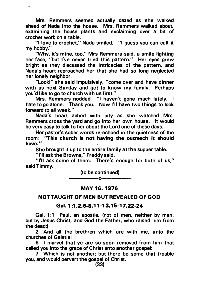Mrs. Remmers seemed actually dazed as she walked ahead of Nada into the house. Mrs. Remmers walked about, examining the house plants and exclaiming over a bit of crochet work on a table.

 $\ddot{\phantom{0}}$ 

"I love to crochet," Nada smiled. "I guess you can call it my hobby."

'Why, it's mine, too," Mrs Remmers said, a smile lighting her face, "but I've never tried this pattern." Her eyes grew bright as they discussed the intricacies of the pattern, and Nada's heart reproached her that she had so long neglected her lonely neighbor.

"Lookl" she said impulsively, "come over and have dinner with us next Sunday and get to know my family. Perhaps you'd like to go to church with us first."

Mrs. Remmers nodded. "I haven't gone much lately. I hate to go alone. Thank you. Now I'll have two things to look forward to all week."

Nada's heart ached with pity as she watched Mrs. Remmers cross the yard and go into her own house. It would be very easy to talk to her about the Lord one of these days.

Her pastor's sober words re-echoed in the quietness of the room: ''This church is not having the outreach it should have."

She brought it up to the entire family at the supper table.

"I'll ask the Browns," Freddy said.

"I'll ask some of them. There's enough for both of us," said Timmy.

(to be continued)

--------- 0---------

# MAY 16, 1976

#### NOT TAUGHT OF MEN BUT REVEALED OF GOD

#### Gal. 1:1.2.6-8.11-13.15-17.22-24

Gal. 1:1 Paul, an apostle, (not of men, neither by man, but by Jesus Christ, and God the Father, who raised him from the dead;)

2 And all the brethren which are with me, unto the churches of Galatia:

6 I marvel that ye are so soon removed from him that called you into the grace of Christ unto another gospel:

7 Which is not another; but there be some that trouble you, and would pervert the gospel of Christ.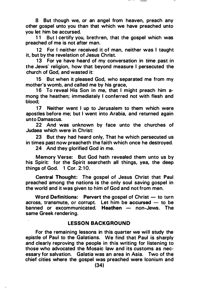8 But though we, or an angel from heaven, preach any other gospel unto you than that which we have preached unto you let him be accursed.

11 But I certify you, brethren, that the gospel which was preached of me is not after man.

12 For I neither received it of man, neither was I taught it, but by the revelation of Jesus Christ.

13 For ye have heard of my conversation in time past in the Jews' religion, how that beyond measure I persecuted the church of God, and wasted it:

15 But when it pleased God, who separated me from my mother's womb, and called me by his grace,

16 To reveal His Son in me, that I might preach him among the heathen; immediately I conferred not with flesh and blood;

17 Neither went I up to Jerusalem to them which were apostles before me; but I went into Arabia, and returned again unto Damascus.

22 And was unknown by face unto the churches of Judaea which were in Christ:

23 But they had heard only, That he which persecuted us in times past now preacheth the faith which once he destroyed.

24 And they glorified God in me.

Memory Verse: But God hath revealed them unto us by his Spirit: for the Spirit searcheth all things, yea, the deep things of God. 1 Cor. 2: 10.

Central Thought: The gospel of Jesus Christ that Paul preached among the nations is the only soul saving gospel in the world and it was given to him of God and not from men.

Word Definitions: Pervert the gospel of Christ  $-$  to turn across, transmute, or corrupt. Let him be accursed  $-$  to be banned or excommunicated. Heathen - non-Jews. The same Greek rendering.

#### LESSON BACKGROUND

For the remaining lessons in this quarter we will study the epistle of Paul to the Galatians. We find that Paul is sharply and clearly reproving the people in this writing for listening to those who advocated the Mosaic law and its customs as necessary for salvation. Galatia was an area in Asia. Two of the chief cities where the gospel was preached were lconium and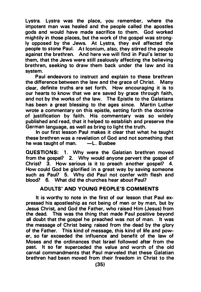Lystra. Lystra was the place, you remember, where the impotent man was healed and the people called the apostles gods and would have made sacrifice to them. God worked mightily in those places, but the work of the gospel was strongly opposed by the Jews. At Lystra, they evil affected the people to stone Paul. At lconium, also, they stirred the people against the brethren. And here we will find in Paul's letter to them, that the Jews were still zealously affecting the believing brethren, seeking to draw them back under the law and its system.

Paul endeavors to instruct and explain to these brethren the difference between the law and the grace of Christ. Many clear, definite truths are set forth. How encouraging it is to our hearts to know that we are saved by grace through faith, and not by the works of the law. The Epistle to the Galatians has been a great blessing to the ages since. Martin Luther wrote a commentary on this epistle, setting forth the doctrine of justification by faith. His commentary was so widely published and read, that it helped to establish and preserve the German language, as well as bring to light the truth.

In our first lesson Paul makes it clear that what he taught these brethren was a revelation of God and not something that he was taught of man.  $\qquad$  -L. Busbee

QUESTIONS: 1. Why were the Galatian brethren moved from the gospel? 2. Why would anyone pervert the gospel of Christ? 3. How serious is it to preach another gospel? 4. How could God be glorified in a great way by saving someone such as Paul? 5. Why did Paul not confer with flesh and blood? 6. What did the churches hear about Paul?

#### ADULTS' AND YOUNG PEOPLE'S COMMENTS

It is worthy to note in the first of our lesson that Paul expressed his apostleship as not being of men or by man, but by Jesus Christ, and God the Father, who raised Him (Jesus) from the dead. This was the thing that made Paul positive beyond all doubt that the gospel he preached was not of man. It was the message of Christ being raised from the dead by the glory of the Father. This kind of message, this kind of life and power, so far exceeded the influence and benefit of the law of Moses and the ordinances that Israel followed after from the past. It so far superceded the value and worth of the old carnal commandments that Paul marveled that these Galatian brethren had been moved from their freedom in Christ to the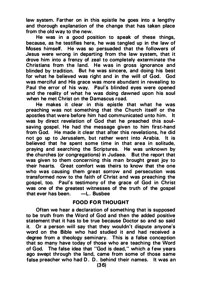law system. Farther on in this epistle he goes into a lengthy and thorough explanation of the change that has taken place from the old way to the new.

He was in a good position to speak of these things, because, as he testifies here, he was tangled up in the law of Moses himself. He was so persuaded that the followers of Jesus were wrong in departing from the law system, that it drove him into a frenzy of zeal to completely exterminate the Christians from the land. He was in gross ignorance and blinded by tradition. But he was sincere, and doing his best for what he believed was right and in the will of God. God was merciful and His grace was more abundant in revealing to Paul the error of his way. Paul's blinded eyes were opened and the reality of what he was doing dawned upon his soul when he met Christ on the Damascus road.

He makes it clear in this epistle that what he was preaching was not something that the Church itself or the apostles that were before him had communicated unto him. It was by direct revelation of God that he preached this soulsaving gospel. He had the message given to him first-hand from God. He made it clear that after this revelations, he did not go up to Jerusalem, but rather went into Arabia. It is believed that he spent some time in that area in solitude, praying and searching the Scriptures. He was unknown by the churches (or congregations) in Judaea. But the report that was given to them concerning this man brought great joy to their hearts. Great comfort was theirs to know that the one who was causing them great sorrow and persecution was transformed now to the faith of Christ and was preaching the gospel, too. Paul's testimony of the grace of God in Christ was one of the greatest witnesses of the truth of the gospel<br>that ever has been.  $\leftarrow$  Bushee that ever has been.

## FOOD FOR THOUGHT

Often we hear a declaration of something that is supposed to be truth from the Word of God and then the added positive statement that it has to be true because Doctor so and so said it. Or a person will say that they wouldn't dispute anyone's word on the Bible who had studied it and had received a degree from a theology seminary. This is a false conception that so many have today of those who are teaching the Word of God. The false idea that "God is dead," which a f.ew years ago swept through the land, came from some of those same false preacher who had D. D. behind their names. It was an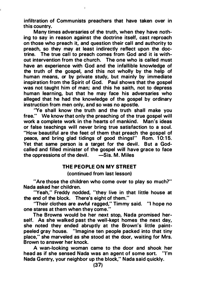infiltration of Communists preachers that have taken over in this country.

Many times adversaries of the truth, when they have nothing to say in reason against the doctrine itself, cast reproach on those who preach it, and question their call and authority to preach, so they may at least indirectly reflect upon the doctrine. The true call to preach comes from God and it is with-The true call to preach comes from God and it is without intervention from the church. The one who is called must have an experience with God and the infallible knowledge of the truth of the gospel, and this not wholly by the help of human means, or by private study, but mainly by immediate inspiration from the Spirit of God. Paul shows that the gospel was not taught him of man; and this he saith, not to depress human learning, but that he may face his adversaries who alleged that he had the knowledge of the gospel by ordinary instruction from men only, and so was no apostle.

"Ye shall know the truth and the truth shall make you free." We know that only the preaching of the true gospel will work a complete work in the hearts of mankind. Man's ideas or false teachings will never bring true satisfaction to a soul. "How beautiful are the feet of them that preach the gospel of peace, and bring glad tidings of good things!" Rom. 10:15. Yet that same person is a target for the devil. But a Godcalled and filled minister of the gospel will have grace to face<br>the oppressions of the devil. —Sis. M. Miles the oppressions of the devil.

## THE PEOPLE ON MY STREET

(continued from last lesson)

"Are those the children who come over to play so much?" Nada asked her children.

"Yeah," Freddy nodded, "they live in that little house at the end of the block. There's eight of them."

"Their clothes are awful ragged," Timmy said. "I hope no one stares at them when they come."

The Browns would be her next stop, Nada promised herself. As she walked past the well-kept homes the next day, she noted they ended abruptly at the Brown's little paintpeeled gray house. "Imagine ten people packed into that tiny place," she marveled as she stood at the door, waiting for Mrs. Brown to answer her knock.

A wan-looking woman came to the door and shook her head as if she sensed Nada was an agent of some sort. ''I'm Nada Gentry, your neighbor up the block," Nada said quickly.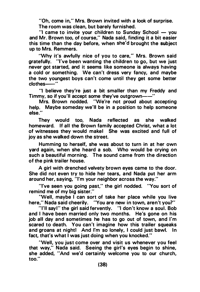"Oh, come in," Mrs. Brown invited with a look of surprise. The room was clean, but barely furnished.

"I came to invite your children to Sunday School  $-$  you and Mr. Brown too, of course," Nada said, finding it a bit easier this time than the day before, when she'd brought the subject up to Mrs. Remmers.

'Why it's awfully nice of you to care," Mrs. Brown said gratefully. 'Tve been wanting the children to go, but we just never got started, and it seems like someone is always having a cold or something. We can't dress very fancy, and maybe the two youngest boys can't come until they get some better clothes-"

"I believe they're just a bit smaller than my Freddy and Timmy, so if you'll accept some they've outgrown--"

Mrs. Brown nodded. "We're not proud about accepting help. Maybe someday we'll be in a position to help someone else."

They would too, Nada reflected as she walked homeward. If all the Brown family accepted Christ, what a lot of witnesses they would makel She was excited and full of joy as she walked down the street.

Humming to herself, she was about to turn in at her own yard again, when she heard a sob. Who would be crying on such a beautiful morning. The sound came from the direction of the pink trailer house.

A girl with drenched velvety brown eyes came to the door. She did not even try to hide her tears, and Nada put her arm around her, saying, "I'm your neighbor across the way."

"I've seen you going past," the girl nodded. "You sort of remind me of my big sister."

'Well, maybe I can sort of take her place while you live here," Nada said cheerily. "You are new in town, aren't you?"

"I'll sayl" the girl said fervently. "I don't know a soul. Bob and I have been married only two months. He's gone on his job all day and sometimes he has to go out of town, and I'm scared to death. You can't imagine how this trailer squeaks and groans at nightl And I'm so lonely, I could just bawl. In fact, that's what I was just doing when you knocked."

'Well, you just come over and visit us whenever you feel that way," Nada said. Seeing the girl's eyes begin to shine, she added, "And we'd certainly welcome you to our church, too."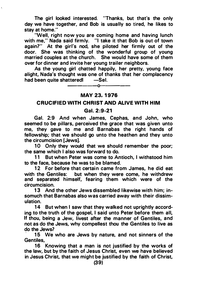The girl looked interested. "Thanks, but that's the only day we have together, and Bob is usually so tired, he likes to stay at home."

k.

'Well, right now you are coming home and having lunch with me," Nada said firmly. "I take it that Bob is out of town again?" At the girl's nod, she piloted her firmly out of the door. She was thinking of the wonderful group of young married couples at the church. She would have some of them over for dinner and invite her young trailer neighbors.

As the young girl chatted happily, her pretty, young face alight, Nada's thought was one of thanks that her complacency<br>had been quite shattered  $-$ Sel had been quite shattered!

# ------o---- MAY 23, 1976

#### CRUCIFIED WITH CHRIST AND ALIVE WITH HIM

## Gal. 2:9-21

Gal. 2:9 And when James, Cephas, and John, who seemed to be pillars, perceived the grace that was given unto me, they gave to me and Barnabas the right hands of fellowship; that we should go unto the heathen and they unto the circumcision [Jews].

10 Only they would that we should remember the poor; the same which I also was forward to do.

11 But when Peter was come to Antioch, I withstood him to the face, because he was to be blamed.

12 For before that certain came from James, he did eat with the Gentiles: but when they were come, he withdrew and separated himself, fearing them which were of the circumcision.

13 And the other Jews dissembled likewise with him: insomuch that Barnabas also was carried away with their dissimulation.

14 But when I saw that they walked not uprightly according to the truth of the gospel, I said unto Peter before them all, If thou, being a Jew, livest after the manner of Gentiles, and not as do the Jews, why compellest thou the Gentiles to live as do the Jews?

15 We who are Jews by nature, and not sinners of the Gentiles,

16 Knowing that a man is not justified by the works of the law, but by the faith of Jesus Christ, even we have believed in Jesus Christ, that we might be justified by the faith of Christ,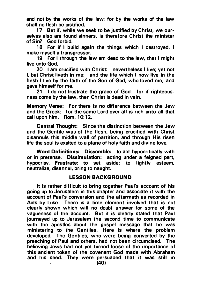and not by the works of the law: for by the works of the law shall no flesh be justified.

17 But if, while we seek to be justified by Christ, we ourselves also are found sinners, is therefore Christ the minister of Sin? God forbid.

18 For if I build again the things which I destroyed. I make myself a transgressor.

19 For I through the law am dead to the law, that I might live unto God.

20 I am crucified with Christ: nevertheless I live; yet not I, but Christ liveth in me: and the life which I now live in the flesh I live by the faith of the Son of God, who loved me, and gave himself for me.

21 I do not frustrate the grace of God: for if righteousness come by the law, then Christ is dead in vain.

Memory Verse: For there is no difference between the Jew and the Greek: for the same Lord over all is rich unto all that call upon him. Rom.  $10:12$ .

Central Thought: Since the distinction between the Jew and the Gentile was of the flesh, being crucified with Christ disannuls this middle wall of partition, and through His risen life the soul is exalted to a plane of holy faith and divine love.

Word Definitions: Dissemble: to act hypocritically with or in pretense. Dissimulation: acting under a feigned part, hypocrisy. Frustrate: to set aside; to lightly esteem, neutralize, disannul, bring to naught.

## LESSON BACKGROUND

It is rather difficult to bring together Paul's account of his going up to Jerusalem in this chapter and associate it with the account of Paul's conversion and the aftermath as recorded in Acts by Luke. There is a time element involved that is not clearly shown which will no doubt answer for some of the vagueness of the account. But it is clearly stated that Paul journeyed up to Jerusalem the second time to communicate with the apostles about the gospel message that he was ministering to the Gentiles. Here is where the problem developed. The Gentiles, who were being converted by the preaching of Paul and others, had not been circumcised. The believing Jews had not yet turned loose of the importance of this ancient token of the covenant God made with Abraham and his seed. They were persuaded that it was still in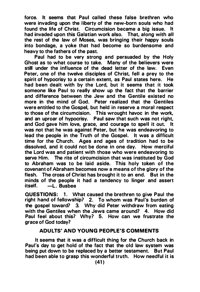force. It seems that Paul called these false brethren who were invading upon the liberty of the new-born souls who had found the life of Christ. Circumcision became a big issue. It had invaded upon this Galatian work also. That, along with all the rest of the law of Moses, was bringing their happy souls into bondage, a yoke that had become so burdensome and heavy to the fathers of the past.

Paul had to be very strong and persuaded by the Holy Ghost as to what course to take. Many of the believers were still under the influence of the dead letter of the law. Even Peter, one of the twelve disciples of Christ, fell a prey to the spirit of hypocrisy to a certain extent, as Paul states here. He had been dealt with by the Lord, but it seems that it took someone like Paul to really show up the fact that the barrier and difference between the Jew and the Gentile existed no more in the mind of God. Peter realized that the Gentiles were entitled to the Gospel, but held in reserve a moral respect to those of the circumcision. This wrought havoc in the work, and an uproar of hypocrisy. Paul saw that such was not right, and God gave him love, grace, and courage to spell it out. It was not that he was against Peter, but he was endeavoring to lead the people in the Truth of the Gospel. It was a difficult time for the Church. Ages and ages of tradition had to be dissolved, and it could not be done in one day. How merciful the Lord was and patient with those who were endeavoring to serve Him. The rite of circumcision that was instituted by God to Abraham was to be laid aside. This holy token of the covenant of Abraham becomes now a means of the glory of the flesh. The cross of Christ has brought it to an end. But in the minds of the people it had a tendency to linger and assert itself. -L. Busbee

QUESTIONS: 1. What caused the brethren to give Paul the right hand of fellowship? 2. To whom was Paul's burden of the gospel toward? 3. Why did Peter withdraw from eating with the Gentiles when the Jews came around? 4. How did Paul feel about this? Why? 5. How can we frustrate the grace of God today?

#### ADULTS' AND YOUNG PEOPLE'S COMMENTS

It seems that it was a difficult thing for the Church back in Paul's day to get hold of the fact that the old law system was being put down to be replaced by a better testament. But Paul had been able to grasp this wonderful truth. How needful it is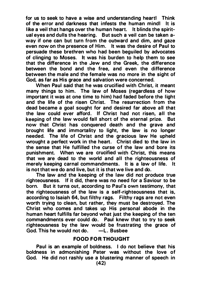for us to seek to have a wise and understanding heart! Think of the error and darkness that infests the human mind! It is like a veil that hangs over the human heart. It blinds the spiritual eyes and dulls the hearing. But such a veil can be taken away if one can but turn from the outward and dim, and gaze even now on the presence of Him. It was the desire of Paul to persuade these brethren who had been beguiled by advocates of clinging to Moses. It was his burden to help them to see that the difference in the Jew and the Greek, the difference between the bond and the free, and even the difference between the male and the female was no more in the sight of God, as far as His grace and salvation were concerned.

When Paul said that he was crucified with Christ, it meant many things to him. The law of Moses (regardless of how important it was at one time to him) had faded before the light and the life of the risen Christ. The resurrection from the dead became a goal sought for and desired far above all that the law could ever afford. If Christ had not risen, all the keeping of the law would fall short of the eternal prize. But now that Christ has conquered death and the grave and brought life and immortality to light, the law is no longer needed. The life of Christ and the gracious law He upheld wrought a perfect work in the heart. Christ died to the law in the sense that He fulfilled the curse of the law and bore its punishment. When we are crucified with Christ, this means that we are dead to the world and all the righteousness of merely keeping carnal commandments. It is a law of life. It is not that we do and live, but it is that we live and do.

The law and the keeping of the law did not produce true righteousness. If it did, there was no need for a Saviour to be born. But it turns out. according to Paul's own testimony, that the righteousness of the law is a self-righteousness that is, according to Isaiah 64, but filthy rags. Filthy rags are not even worth trying to clean, but rather, they must be destroyed. The Christ who comes and takes up His personal abode in the human heart fulfills far beyond what just the keeping of the ten commandments ever could do. Paul knew that to try to seek righteousness by the law would be frustrating the grace of God. This he would not do.  $-$ L. Busbee God. This he would not do.

## **FOOD FOR THOUGHT**

Paul is an example of boldness. I do not believe that his boldness in admonishing Peter was without the love of God. He did not rashly use a blustering manner of speech in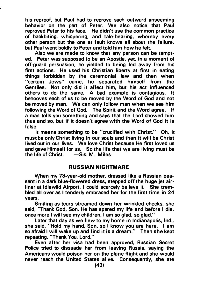his reproof, but Paul had to reprove such outward unseeming behavior on the part of Peter. We also notice that Paul reproved Peter to his face. He didn't use the common practice of backbiting, whispering, and tale-bearing, whereby every other person but the one at fault knows all about the failure, but Paul went boldly to Peter and told him how he felt.

Also we are made to know that any person can be tempted. Peter was supposed to be an Apostle, yet, in a moment of off-guard persuasion, he yielded to being led away from his first actions. He used his Christian liberty at first in eating things forbidden by the ceremonial law and then when "certain Jews" came, he separated himself from the Gentiles. Not only did it affect him, but his act influenced others to do the same. A bad example is contagious. It behooves each of us to be moved by the Word of God and not be moved by man. We can only follow man when we see him following the Word of God. The Spirit and the Word agree. If a man tells you something and says that the Lord showed him thus and so, but if it doesn't agree with the Word of God it is false.

It means something to be "crucified with Christ." Oh, it must be only Christ living in our souls and then it will be Christ lived out in our lives. We love Christ because He first loved us and gave Himself for us. So the life that we are living must be  $the$  life of Christ.  $-Sis$ . M. Miles

## **RUSSIAN NIGHTMARE**

VVhen my 73-year-old mother, dressed like a Russian peasant in a dark blue-flowered dress, stepped off the huge jet airliner at Idlewild Airport, I could scarcely believe it. She trembled all over as I tenderly embraced her for the first time in 24 years.

Smiling as tears streamed down her wrinkled cheeks, she said, "Thank God, Son, He has spared my life and before I die, once more I will see my children, I am so glad, so glad."

Later that day as we flew to my home in Indianapolis, Ind., she said, "Hold my hand, Son, so I know you are here. I am so afraid I will wake up and find it is a dream." Then she kept repeating, "Thank You, Lord."

Even after her visa had been approved, Russian Secret Police tried to dissuade her from leaving Russia, saying the Americans would poison her on the plane flight and she would never reach the United States alive. Consequently, she ate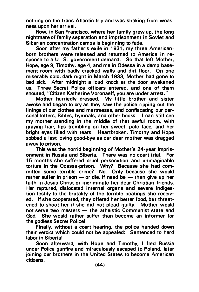nothing on the trans-Atlantic trip and was shaking from weakness upon her arrival.

Now, in San Francisco, where her family grew up, the long nightmare of family separation and imprisonment in Soviet and Siberian concentration camps is beginning to fade.

Soon after my father's exile in 1931, my three Americanborn brothers were released and returned to America in response to a U. S. government demand. So that left Mother, Hope, age 9, Timothy, age 4, and me in Odessa in a damp basement room with badly cracked walls and dirt floor. On one miserably cold, dark night in March 1933, Mother had gone to bed sick. After midnight a loud knock at the door awakened us. Three Secret Police officers entered, and one of them shouted, "Citizen Katherine Voronaeff, you are under arrest."

Mother hurriedly dressed. My little brother and sister awoke and began to cry as they saw the police ripping out the linings of our clothes and mattresses, and confiscating our personal letters, Bibles, hymnals, and other books. I can still see my mother standing in the middle of that awful room, with graying hair, lips trembling on her sweet, pale face, and her bright eyes filled with tears. Heartbroken, Timothy and Hope sobbed a last loving good-bye as our dear mother was dragged away to prison.

This was the horrid beginning of Mother's 24-year imprisonment in Russia and Siberia. There was no court trial. For 15 months she suffered cruel persecution and unimaginable torture in the Odessa prison. Why? Because she had committed some terrible crime? No. Only because she would rather suffer in prison  $-$  or die, if need be  $-$  than give up her faith in Jesus Christ or incriminate her dear Christian friends. Her ruptured, dislocated internal organs and severe indigestion testify to the brutality of the terrible beatings she received. If she cooperated, they offered her better food, but threatened to shoot her if she did not plead guilty. Mother would not serve two masters  $-$  the atheistic Communist state and God. She would rather suffer than become an informer for the godless Secret Policel

Finally, without a court hearing, the police handed down their verdict which could not be appealed: Sentenced to hard labor in Siberia!

Soon afterward, with Hope and Timothy, I fled Russia under Police gunfire and miraculously escaped to Poland, later joining our brothers in the United States to become American citizens.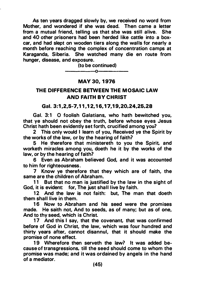As ten years dragged slowly by, we received no word from Mother, and wondered if she was dead. Then came a letter from a mutual friend, telling us that she was still alive. She and 40 other prisoners had been herded like cattle into a boxcar, and had slept on wooden tiers along the walls for nearly a month before reaching the complex of concentration camps at Karaganda, Siberia. She watched many die en route from hunger, disease, and exposure.

> ----o ---· (to be continued)

# MAY 30, 1976

## THE DIFFERENCE BETWEEN THE MOSAIC LAW **AND FAITH BY CHRIST**

## Gal. 3:1.2.5-7.11.12.16.17.19.20.24.25.28

Gal. 3:1 0 foolish Galatians, who hath bewitched you, that ye should not obey the truth, before whose eyes Jesus Christ hath been evidently set forth, crucified among you?

2 This only would I learn of you, Received ye the Spirit by the works of the law, or by the hearing of faith?

5 He therefore that ministereth to you the Spirit and worketh miracles among you, doeth he it by the works of the law, or by the hearing of faith?

6 Even as Abraham believed God, and it was accounted to him for righteousness.

7 Know ye therefore that they which are of faith, the same are the children of Abraham.

11 But that no man is justified by the law in the sight of God, it is evident: for, The just shall live by faith.

12 And the law is not faith: but, The man that doeth them shall live in them.

16 Now to Abraham and his seed were the promises made. He saith not, And to seeds, as of many; but as of one, And to thy seed, which is Christ.

17 And this I say, that the covenant that was confirmed before of God in Christ, the law, which was four hundred and thirty years after, cannot disannul, that it should make the promise of none effect.

19 Wherefore then serveth the law? It was added because of transgressions, till the seed should come to whom the promise was made; and it was ordained by angels in the hand of a mediator.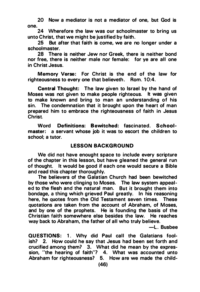20 Now a mediator is not a mediator of one, but God is one.

24 Wherefore the law was our schoolmaster to bring us unto Christ, that we might be justified by faith.

25 But after that faith is come, we are no longer under a schoolmaster.

28 There is neither Jew nor Greek, there is neither bond nor free, there is neither male nor female: for ye are all one in Christ Jesus.

Memory Verse: For Christ is the end of the law for righteousness to every one that believeth. Rom. 10:4.

Central Thought: The law given to Israel by the hand of Moses was not given to make people righteous. It was given to make known and bring to man an understanding of his sin. The condemnation that it brought upon the heart of man prepared him to embrace the righteousness of faith in Jesus Christ.

Word Definitions: Bewitched: fascinated. Schoolmaster: a servant whose job it was to escort the children to school; a tutor.

## LESSON BACKGROUND

We did not have enought space to include every scripture of the chapter in this lesson, but have gleaned the general run of thought. It would be good if each one would secure a Bible and read this chapter thoroughly.

The believers of the Galatian Church had been bewitched by those who were clinging to Moses. The law system appealed to the flesh and the natural man. But it brought them into bondage, a thing which grieved Paul greatly. In his reasoning here, he quotes from the Old Testament seven times. These quotations are taken from the account of Abraham, of Moses, and by one of the prophets. He is founding the basis of the Christian faith somewhere else besides the law. He reaches way back to Abraham, the father of all who truly believe.

-L . Busbee

QU ESTIONS: 1. Why did Paul call the Galatians foolish? 2. How could he say that Jesus had been set forth and crucified among them? 3. What did he mean by the expression, "the hearing of faith"? 4. What was accounted unto Abraham for righteousness? 5. How are we made the child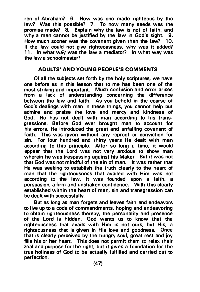ren of Abraham? 6. How was one made righteous by the law? Was this possible? 7. To how many seeds was the promise made? 8. Explain why the law is not of faith, and why a man cannot be justified by the law in God's sight. 9. How much sooner was the covenant given than the law? 10. If the law could not give righteousness, why was it added? 11. In what way was the law a mediator? In what way was the law a schoolmaster?

## ADULTS' AND YOUNG PEOPLE'S COMMENTS

Of all the subjects set forth by the holy scriptures, we have one before us in this lesson that to me has been one of the most striking and important. Much confusion and error arises from a lack of understanding concerning the difference between the law and faith. As you behold in the course of God's dealings with man in these things, you cannot help but admire and praise the love and mercy a nd kindness of God. He has not dealt with man according to his transgressions. Before God ever brought man to account for his errors, He introduced the great and unfailing covenant of faith. This was given without any reproof or conviction for sin. For four hundred and thirty vears He dealt with man according to this principle. After so long a time, it would appear that the Lord was not very anxious to show man wherein he was trespassing against his Maker But it was not that God was not mindful of the sin of man. It was rather that He was seeking to establish the truth clearly to the heart of man that the righteousness that availed with Him was not according to the law. It was founded upon a faith, a persuasion, a firm and unshaken confidence. With this clearly established within the heart of man, sin and transgression can be dealt with successfully.

But as long as man forgets and leaves faith and endeavors to live up to a code of commandments, hoping and endeavoring to obtain righteousness thereby, the personality and presence of the Lord is hidden. God wants us to know that the righteousness that avails with Him is not ours, but His, a righteousness that is given in His love and goodness. Once that is clearly perceived by the hungry soul, great rest and joy fills his or her heart. This does not permit them to relax their zeal and purpose for the right, but it gives a foundation for the true holiness of God to be actually fulfilled and carried out to perfection.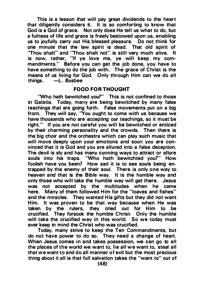This is a lesson that will pay great dividends to the heart that diligently considers it. It is so comforting to know that God is a God of grace. Not only does He tell us what to do, but a fulness of life and grace is freely bestowed upon us, enabling us to joyfully carry out His blessed pleasure. Do not think for one minute that the law spirit is dead. That old spirit of "Thou shalt" and "Thou shalt not" is still very much alive. It is now, rather, "If ye love me, ye will keep my commandments." Before you can get the job done, you have to have something to do the job with. The grace of Christ is the means of us living for God. Only through Him can we do all things. -L. Busbee

#### **FOOD FOR THOUGHT**

'Who hath bewitched you?" This is not confined to those in Galatia. Today, many are being bewitched by many false teachings that are going forth. False movements put on a big front. They will say, "You ought to come with us because we have thousands who are accepting our teachings, so it must be right." If you are not careful you will be bewitched or enticed by their charming personality and the crowds. Then there is the big choir and the orchestra which can play such music that will move deeply upon your emotions and soon you are convinced that it is God and you are allured into a false deception. The devil is sly and has many cunning ways to attract or allure souls into his traps. 'Who hath bewitchted you?" How foolish have you been? How sad it is to see souls being entrapped by the enemy of their soul. There is only one way to heaven and that is the Bible way. It is the humble way and only those who will take the humble way will get there. Jesus was not accepted by the multitudes when he came here. Many of them followed Him for the "loaves and fishes" and the miracles. They wanted His gifts but they did not want Him. It was proven to be that way because when He was taken by the rulers, they cried out for Him to be crucified. They forsook the humble Christ. Only the humble will take the crucified way in this world. So we today must ever keep in mind the Christ who was crucified.

Today, many strive to keep the Ten Commandments, but do not have power to do so. They need a change of heart. When Jesus comes in and takes possession, we can go to all the places of the world we want to, lie all we want to, steal all that we want to and do all manner of evil but the most precious thing about it all is that full salvation takes the "want to" out of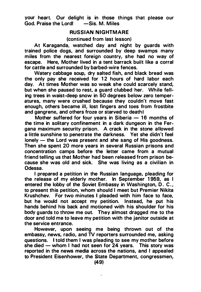your heart. Our delight is in those things that please our<br>God Praise the Lord! – Sis M Miles God. Praise the Lordi

#### RUSSIAN NIGHTMARE

(continued from last lesson)

At Karaganda, watched day and night by guards with trained police dogs, and surrounded by deep swamps many miles from the nearest foreign country, she had no way of escape. Here, Mother lived in a tent barrack built like a corral for cattle and surrounded by barbed-wire fences.

Watery cabbage soup, dry salted fish, and black bread was the only pay she received for 12 hours of hard labor each day. At times Mother was so weak she could scarcely stand, but when she paused to rest, a guard clubbed her. While felling trees in waist-deep snow in 50 degrees below zero temperatures, many were crushed because they couldn't move fast enough, others became ill, lost fingers and toes from frostbite and gangrene, and others froze or starved to death I

Mother suffered for four years in Siberia  $-16$  months of the time in solitary confinement in a dark dungeon in the Fergana maximum security prison. A crack in the stone allowed a little sunshine to penetrate the darkness. Yet she didn't feel  $longly$  - the Lord was present and she sang of His goodness. Then she spent 20 more years in several Russian prisons and concentration camps before the letter came from a mutual friend telling us that Mother had been released from prison because she was old and sick. She was living as a civilian in Odessa.

I prepared a petition in the Russian language, pleading for the release of my elderly mother. In September 1959, as I entered the lobby of the Soviet Embassy in Washington, D. C., to present this petition, whom should I meet but Premier Nikita Krushchev. For two minutes I pleaded with him face to face, but he would not accept my petition. Instead, he put his hands behind his back and motioned with his shoulder for his body guards to throw me out. They almost dragged me to the door and told me to leave my petition with the janitor outside at the service entrance.

However, upon seeing me being thrown out of the embassy, news, radio, and TV reporters surrounded me, asking questions. I told them I was pleading to see my mother before she died  $-$  whom I had not seen for 24 years. This story was reported in the news media across the nations, and I appealed to President Eisenhower, the State Department, congressmen,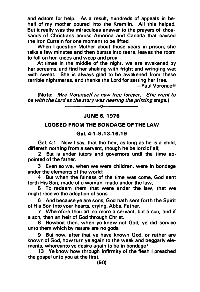and editors for help. As a result, hundreds of appeals in behalf of my mother poured into the Kremlin. All this helped. But it really was the miraculous answer to the prayers of thousands of Christians across America and Canada that caused the Iron Curtain for one moment to be lifted.

When I question Mother about those years in prison, she talks a few minutes and then bursts into tears, leaves the room to fall on her knees and weep and pray.

At times in the middle of the night, we are awakened by her screams, and find her shaking with fright and wringing wet with sweat. She is always glad to be awakened from these terrible nightmares, and thanks the Lord for setting her free.

-Paul Voronaeff

(Note: Mrs. Voronaeff is now free forever. She went to be with the Lord as the story was nearing the printing stage.)  $-0$ 

## **JUNE 6, 1976**

## **LOOSED FROM THE BONDAGE OF THE LAW**

## Gal. 4:1-9,13-16,19

Gal. 4:1 Now I say, that the heir, as long as he is a child. differeth nothing from a servant, though he be lord of all;

2 But is under tutors and governors until the time appointed of the father.

3 Even so we, when we were children, were in bondage under the elements of the world:

4 But when the fulness of the time was come, God sent forth His Son, made of a woman, made under the law,

5 To redeem them that were u nder the law, that we might receive the adoption of sons.

6 And because ye are sons, God hath sent forth the Spirit of His Son into your hearts, crying, Abba, Father.

7 Wherefore thou art no more a servant, but a son; and if a son, then an heir of God through Christ.

8 Howbeit then, when ye knew not God, ye did service unto them which by nature are no gods.

9 But now, after that ye have known God, or rather are known of God, how turn ye again to the weak and beggarly elements, whereunto ye desire again to be in bondage?

13 Ye know how through infirmity of the flesh I preached the gospel unto you at the first.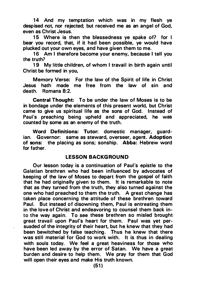14 And my temptation which was in my flesh ye despised not, nor rejected; but received me as an angel of God, even as Christ Jesus.

15 Where is then the blessedness ye spake of? for 1 bear you record, that, if it had been possible, ye would have plucked out your own eyes, and have given them to me.

16 Am I therefore become your enemy, because I tell you the truth?

19 My little children, of whom I travail in birth again until Christ be formed in you,

Memory Verse: For the law of the Spirit of life in Christ Jesus hath made me free from the law of sin and death. Romans 8:2.

Central Thought: To be under the law of Moses is to be in bondage under the elements of this present world, but Christ came to give us spiritual life as the sons of God. Instead of Paul's preaching being upheld and appreciated, he was counted by some as an enemy of the truth.

Word Definitions: Tutor: domestic manager, guardian. Governor: same as steward, overseer, agent. Adoption of sons: the placing as sons; sonship. Abba: Hebrew word for father.

## LESSON BACKGROUND

Our lesson today is a continuation of Paul's epistle to the Galatian brethren who had been influenced by advocates of keeping of the law of Moses to depart from the gospel of faith that he had originally given to them. It is remarkable to note that as they turned from the truth, they also turned against the one who had preached to them the truth. A great change has taken place concerning the attitude of these brethren toward Paul. But instead of disowning them, Paul is entreating them in the love of Christ and endeavoring to counsel them back into the way again. To see these brethren so misled brought great travail upon Paul's heart for them. Paul was yet persuaded of the integrity of their heart, but he knew that they had been bewitched by false teaching. Thus he knew that there was still material for God to work with. It is thus in dealing with souls today. We feel a great heaviness for those who have been led away by the error of Satan. We have a great burden and desire to help them. We pray for them that God will open their eyes and make His truth known.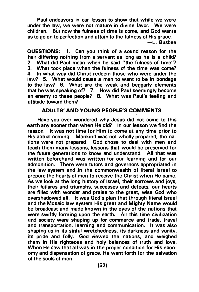Paul endeavors in our lesson to show that while we were under the law, we were not mature in divine favor. We were children. But now the fulness of time is come, and God wants us to go on to perfection a nd attain to the fulness of His grace.

-L. Busbee

QUESTIONS: 1. Can you think of a sound reason for the heir differing nothing from a servant as long as he is a child? 2. What did Paul mean when he said "the fulness of time"? 3. What took place when the fulness of the time was come? 4. In what way did Christ redeem those who were under the law? 5. What would cause a man to want to be in bondage to the law? 6. What are the weak and beggarly elements that he was speaking of? 7. How did Paul seemingly become an enemy to these people? 8. What was Paul's feeling and attitude toward them?

## ADULTS' AND YOUNG PEOPLE'S COMMENTS

Have you ever wondered why Jesus did not come to this earth any sooner than when He did? In our lesson we find the reason. It was not time for Him to come at any time prior to His actual coming. Mankind was not wholly prepared; the nations were not prepared. God chose to deal with men and teach them many lessons, lessons that would be preserved for the future generations to know and understand. All that was written beforehand was written for our learning and for our admonition. There were tutors and governors appropriated in the law system and in the commonwealth of literal Israel to prepare the hearts of men to receive the Christ when He came. As we look at the long history of Israel, their sorrows and joys, their failures and triumphs, successes a nd defeats, our hearts are filled with wonder and praise to the great, wise God who overshadowed all. It was God's plan that through literal Israel and the Mosaic law system His great and Mighty Name would be broadcast and made known in the eyes of the nations that were swiftly forming upon the earth. All this time civilization and society were shaping up for commerce and trade, travel and transportation, learning and communication. It was also shaping up in its sinful wretchedness, its darkness and vanity, its pride and folly. God viewed the nations, and weighed them in His righteous and holy balances of truth and love. When He saw that all was in the proper condition for His economy and dispensation of grace, He went forth for the salvation of the souls of men.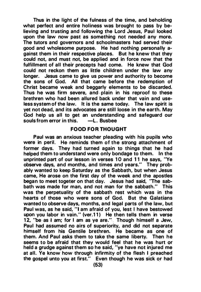Thus in the light of the fulness of the time, and beholding what perfect and entire holiness was brought to pass by believing and trusting and following the Lord Jesus, Paul looked upon the law now past as something not needed any more. The tutors and governors a nd schoolmasters had served their good and wholesome purpose. He had nothing personally against them in their respective places. But he knew that they could not, and must not, be applied and in force now that the fulfillment of all their precepts had come. He knew that God could not reckon them as little children under the law any longer. Jesus came to give us power and authority to become the sons of God. All that came before the redemption of Christ became weak and beggarly elements to be discarded. Thus he was firm severe, and plain in his reproof to these brethren who had been allured back under that vain and useless system of the law. It is the same today. The law spirit is yet not dead, and its advocates are still loose in the earth. May God help us all to get an understanding and safeguard our souls from error in this.  $\qquad -L$ . Busbee souls from error in this.

#### FOOD FOR THOUGHT

Paul was an anxious teacher pleading with his pupils who were in peril. He reminds them of the strong attachment of former days. They had turned again to things that he had helped them to understand were only bondage to them. In the unprinted part of our lesson in verses 10 and 11 he says, "Ye observe days, and months, and times and years." They probably wanted to keep Saturday as the Sabbath, but when Jesus came, He arose on the first day of the week and the apostles began to meet togeter on that day. Jesus had said, "The sabbath was made for man, and not man for the sabbath." This was the perpetuality of the sabbath rest which was in the hearts of those who were sons of God. But the Galatians wanted to observe days, months, and legal parts of the law, but Paul was, as he said, "I am afraid of you, lest I have bestowed upon you labor in vain." (ver.1 1) He then tells them in verse 1 2, "be as I am; for I am as ye are." Though himself a Jew, Paul had assumed no airs of superiority, and did not separate himself from his Gentile brethren. He became as one of them. And Paul asks them to take the same liberty. Then he seems to be afraid that they would feel that he was hurt or held a grudge against them so· he said, "ye have not injured me at all. Ye know how through infirmity of the flesh I preached the gospel unto you at first." Even though he was sick or had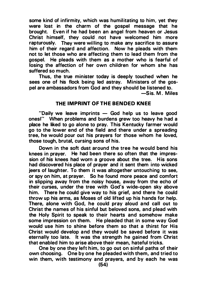some kind of infirmity, which was humilitating to him, yet they were lost in the charm of the gospel message that he brought. Even if he had been an angel from heaven or Jesus Christ himself, they could . not have welcomed him more rapturously. They were willing to make any sacrifice to assure him of their regard and affection. Now he pleads with them not to let those who are affecting them to lead them from the gospel. He pleads with them as a mother who is fearful of losing the affection of her own children for whom she has suffered so much.

Thus, the true minister today is deeply touched when he sees one of his flock being led astray. Ministers of the gospel are ambassadors from God and they should be listened to.

-Sis. M. Miles

#### THE IMPRINT OF THE BENDED KNEE

"Daily we leave imprints  $-$  God help us to leave good onesl" When problems and burdens grew too heavy he had a place he liked to go alone to pray. This Kentucky farmer would go to the lower end of the field and there under a spreading tree, he would pour out his prayers for those whom he loved, those tough, brutal, cursing sons of his.

Down in the soft dust around the tree he would bend his knees in prayer. He had been there so often that the impression of his knees had worn a groove about the tree. His sons had discovered his place of prayer and it sent them into wicked jeers of laughter. To them it was altogether untouching to see, or spy on him, at prayer. So he found more peace and comfort in slipping away from the noisy house, away from the echo of their curses, under the tree with God's wide-open sky above him. There he could give way to his grief, and there he could throw up his arms, as Moses of old lifted up his hands for help. There, alone with God, he could pray aloud and call out to Christ the names of his sinful but beloved sons, and plead with the Holy Spirit to speak to their hearts and somehow make some impression on them. He pleaded that in some way God would use him to shine before them so that a thirst for His Christ would develop and they would be saved before it was eternally too late. It was the strength he gained from Christ that enabled him to arise above their mean, hateful tricks.

One by one they left him, to go out on sinful paths of their own choosing. One by one he pleaded with them, and tried to win them, with testimony and prayers, and by each he was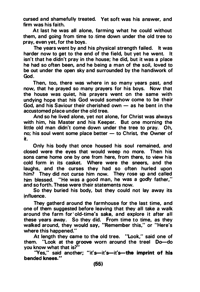cursed and shamefully treated. Yet soft was his answer, and firm was his faith.

At last he was all alone, farming what he could without them, and going from time to -time down under the old tree to pray, even yet, for the boys.

The years went by and his physical strength failed. It was harder now to get to the end of the field, but yet he went. It isn't that he didn't pray in the house; he did, but it was a place he had so often been, and he being a man of the soil, loved to be out under the open sky a nd surrounded by the handiwork of God.

Then, too, there was where in so many years past, and now, that he prayed so many prayers for his boys. Now that the house was quiet, his prayers went on the same with undying hope that his God would somehow come to be their God, and his Saviour their cherished own  $-$  as he bent in the accustomed place under the old tree.

And so he lived alone, yet not alone, for Christ was always with him, his Master and his Keeper. But one morning the little old man didn't come down under the tree to pray. Oh, no; his soul went some place better  $-$  to Christ, the Owner of it.

Only his body that once housed his soul remained, and closed were the eyes that would weep no more. Then his sons came home one by one from here, from there, to view his cold form in its casket. Where were the sneers, and the laughs, and the curses they had so often hurled upon him? They did not curse him now. They rose up and called him blessed. "He was a good man, he was a godly father," and so forth. These were their statements now.

So they buried his body, but they could not lay away its influence.

They gatherd around the farmhouse for the last time, and one of them suggested before leaving that they all take a walk around the farm for· old-time's sake, a nd explore it after all these years away. So they did. From time to time, as they walked around, they would say, "Remember this," or "Here's where this happened."

At length they came to the old tree. "Look," said one of them. "Look at the groove worn around the treel Do-do you know what that is?"

"Yes," said another; "it's—it's—it's—the imprint of his banded knees."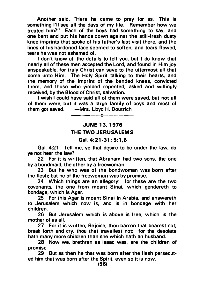Another said, "Here he came to pray for us. This is something I'll see all the days of my life. Remember how we treated him?" Each of the boys had something to say, and one bent and put his hands down against the still-fresh dusty knee imprints that spoke of his father's last visit there, and the lines of his hardened face seemed to soften, and tears flowed, tears he was not ashamed of.

I don't know all the details to tell you, but I do know that nearly all of these men accepted the Lord, and found in Him joy unspeakable, for truly Christ can save to the uttermost all that come unto Him. The Holy Spirit talking to their hearts, and the memory of the imprint of the bended knees, convicted them, and those who vielded repented, asked and willingly received, by the Blood of Christ, salvation.

I wish I could have said all of them were saved, but not all of them were, but it was a large family of boys and most of them got saved.  $\qquad -Mrs$ . Lloyd H. Doutrich  $-Mrs.$  Lloyd H. Doutrich

# ------o------ **JUNE 13, 1976**

#### THE TWO JERUSALEMS

#### Gal. 4:21-31; 5:1.6

Gal. 4:21 Tell me, ye that desire to be under the law, do ye not hear the law?

22 For it is written, that Abraham had two sons, the one by a bondmaid, the other by a freewoman.

23 But he who was of the bondwoman was born after the flesh; but he of the freewoman was by promise.

24 Which things are an allegory: for these are the two covenants; the one from mount Sinai, which gendereth to bondage, which is Agar.

25 For this Agar is mount Sinai in Arabia, and answereth to Jerusalem which now is, and is in bondage with her children.

26 But Jerusalem which is above is free, which is the mother of us all.

27 For it is written, Rejoice, thou barren that bearest not; break forth and cry, thou that travailest not: for the desolate hath many more children than she which hath an husband.

28 Now we, brethren as Isaac was, are the children of promise.

29 But as then he that was born after the flesh persecuted him that was born after the Spirit, even so it is now.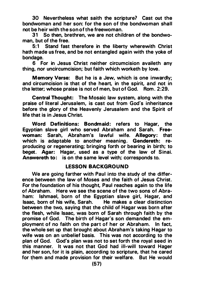30 Nevertheless what saith the scripture? Cast out the bondwoman and her son: for the son of the bondwoman shall not be heir with the son of the freewoman.

31 So then, brethren, we are not children of the bondwoman, but of the free.

5:1 Stand fast therefore in the liberty wherewith Christ hath made us free, and be not entangled again with the yoke of bondage.

6 For in Jesus Christ neither circumcision availeth any thing, nor uncircumcision; but faith which worketh by love.

Memory Verse: But he is a Jew, which is one inwardly; and circumcision is that of the heart, in the spirit, and not in the letter; whose praise is not of men, but of God. Rom. 2:29.

Central Thought: The Mosaic law system, along with the praise of literal Jerusalem, is cast out from God's inheritance before the glory of the Heavenly Jerusalem and the Spirit of life that is in Jesus Christ.

Word Definitions: Bondmaid: refers to Hagar, the Egyptian slave girl who served Abraham and Sarah. Freewoman: Sarah, Abraham's lawful wife. Allegory: that which is adaptable to another meaning. Gendereth: reproducing or regenerating; bringing forth or bearing in birth; to beget. Agar: Hagar, used as a type of the law of Sinai. Answereth to: is on the same level with; corresponds to.

## LESSON BACKGROUND

We are going farther with Paul into the study of the difference between the law of Moses and the faith of Jesus Christ. For the foundation of his thought, Paul reaches again to the life of Abraham. Here we see the scene of the two sons of Abraham: Ishmael, born of the Egyptian slave girl, Hagar, and Isaac, born of his wife, Sarah. He makes a clear distinction between the two, saying that the child of Hagar was born after the flesh, while Isaac, was born of Sarah through faith by the promise of God. The birth of Hagar's son demanded the employment of no faith on the part of her or Abraham. In fact, the whole set up that brought about Abraham's taking Hagar to wife was on an unbelief basis. This was not according to the plan of God. God's plan was not to set forth the royal seed in this manner. It was not that God had ill-will toward Hager and her son, for it is plain, according to scripture, that he cared for them and made provision for their welfare. But He would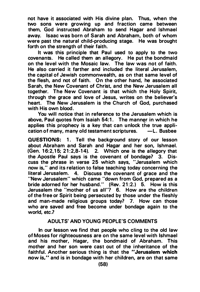not have it associated with His divine plan. Thus, when the two sons were growing up and fraction came between them, God instructed Abraham to send Hagar and Ishmael away. Isaac was born of Sarah and Abraham, both of whom were past the natural child-producing stage. He was brought forth on the strength of their faith.

It was this principle that Paul used to apply to the two covenants. He called them an allegory. He put the bondmaid on the level with the Mosaic law. The law was not of faith. He also carried it farther and included the literal Jerusalem, the capital of Jewish commonwealth, as on that same level of the flesh, and not of faith. On the other hand, he associated Sarah, the New Covenant of Christ, and the New Jerusalem all together. The New Covenant is that which the Holy Spirit, through the grace and love of Jesus, writes on the believer's heart. The New Jerusalem is the Church of God, purchased with His own blood.

You will notice that in reference to the Jerusalem which is above, Paul quotes from Isaiah 54:1. The manner in which he applies this prophecy is a key that can u nlock the true application of many, many old testament scriptures.  $-\mathsf{L}$ . Busbee

QUESTIONS: 1. Tell the background story of our lesson about Abraham and Sarah and Hagar and her son, Ishmael.  $(Gen. 16:2.15; 21:2.8-14)$ . 2. Which one is the allegory that the Apostle Paul says is the covenant of bondage? 3. Discuss the phrase in verse 25 which says, "Jerusalem which now is," and its relation to false teaching today concerning the literal Jerusalem. 4. Discuss the covenant of grace and the "New Jerusalem" which came "down from God, prepared as a bride adorned for her husband." (Rev. 21:2.) 5. How is this Jerusalem the "mother of us all"? 6. How are the children of the free or Spirit being persecuted by those under the fleshly and man-made religious groups today? 7. How can those who are saved and free become under bondage again to the world, etc.?

## ADULTS' AND YOUNG PEOPLE'S COMMENTS

In our lesson we find that people who cling to the old law of Moses for righteousness are on the same level with Ishmael and his mother, Hagar, the bondmaid of Abraham. This mother and her son were cast out of the inheritance of the faithful. Another serious thing is that the "Jerusalem which now is," and is in bondage with her children, are on that same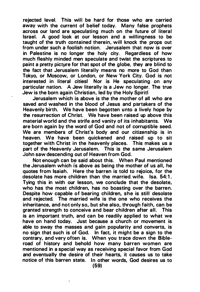rejected level. This will be hard for those who are carried away with the current of belief today. Many false prophets across our land are speculating much on the future of literal Israel. A good look at our lesson and a willingness to be taught of the truth contained therein, will knock the props out from under such a foolish notion. Jerusalem that now is over in Palestine is no longer the holy city. Regardless of how much fleshly minded men speculate and twist the scriptures to paint a pretty picture for that spot of the globe, they are blind to the fact that Jerusalem literally means no more to God than Tokyo, or Moscow, or London, or New York City. God is not interested in literal cities! Nor is He speculating on any particular nation. A Jew literally is a Jew no longer. The true Jew is the born again Christian, led by the Holy Spirit!

Jerusalem which is above is the the mother of all who are saved and washed in the blood of Jesus and partakers of the Heavenly birth. We have been begotten unto a lively hope by the resurrection of Christ. We have been raised up above this material world and the strife and vanity of its inhabitants. We are born again by the word of God and not of corruptible seed. We are members of Christ's body and our citizenship is in heaven. We have been quickened and raised up to sit together with Christ in the heavenly places. This makes us a part of the Heavenly Jerusalem. This is the same Jerusalem John saw descending out of Heaven from God.

Not enough can be said about this. When Paul mentioned the Jerusalem which is above as being the mother of us all, he quotes from Isaiah. Here the barren is told to rejoice, for the desolate has more children than the married wife. Isa. 54:1. Tying this in with our lesson, we conclude that the desolate, who has the most children, has no boasting over the barren. Despite how capable of bearing children, she is still desolate and rejected. The married wife is the one who receives the inheritance, and not only so, but she also, through faith, can be granted strength to conceive and bear children after all. This is an important truth, and can be readily applied to what we have on hand today. Just because a church or movement is able to sway the masses and gain popularity and converts, is no sign that such is of God. In fact, it might be a sign to the contrary, and very often is. When you trace down the Bibleroad of history and behold how many barren women are mentioned in a special way as receiving special favor from God and eventually the desire of their hearts, it causes us to take notice of this barren state. In other words, God desires us to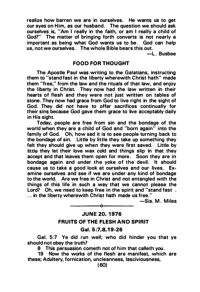realize how barren we are in ourselves. He wants us to get our eyes on Him, as our husband. The question we should ask ourselves is, "Am I really in the faith, or am I really a child of God?" The matter of bringing forth converts is not nearly a important as being what God wants us to be. God can help us, not we ourselves. The whole Bible bears this out.

-L. Busbee

#### **FOOD FOR THOUGHT**

The Apostle Paul was writing to the Galatians, instructing them to "stand fast in the liberty wherewith Christ hath" made them "free," from the law and the rituals of that law, and enjoy the liberty in Christ. They now had the law written in their hearts of flesh and they were not just written on tables of stone. They now had grace from God to live right in the sight of God. They did not have to offer sacrifices continually for their sins because God gave them grace to live acceptably daily in His sight.

Today, people are free from sin and the bondage of the world when they are a child of God and "born again" into the family of God. Oh, how sad it is to see people turning back to the bondage of sin. Little by little they take up something they felt they should give up when they were first saved. Little by little they let their love wax cold and things slip in that they accept and that leaves them open for more. Soon they are in bondage again and under the yoke of the devil. It should cause us to take a good look at ourselves and our lives. Examine ourselves and see if we are under any kind of bondage to the world. Are we free in Christ and not entangled with the things of this life in such a way that we cannot please the Lord? Oh, we need to keep free in the spirit and "stand fast. . . in the liberty wherewith Christ hath made us free.''

-Sis. M. Miles

# ———————0—————— **JUNE 20, 1976**

## FRUITS OF THE FLESH AND SPIRIT

#### Gal. 5:7,8,19-26

Gal. 5:7 Ye did run well; who did hinder you that ye should not obey the truth?

8 This persuasion cometh not of him that calleth you.

19 Now the works of the flesh are manifest, which are these; Adultery, fornication, uncleanness, lasciviousness,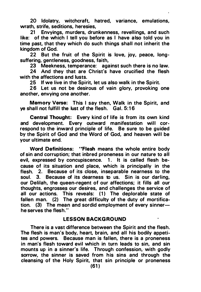20 Idolatry, witchcraft, hatred, variance, emulations, wrath, strife, seditions, heresies,

21 Envyings, murders, drunkenness, revellings, and such like: of the which I tell you before as I have also told you in time past, that they which do such things shall not inherit the kingdom of God.

22 But the fruit of the Spirit is love, joy, peace, longsuffering, gentleness, goodness, faith,

23 Meekness, temperance: against such there is no law.

24 And they that are Christ's have crucified the flesh with the affections and lusts.

25 If we live in the Spirit, let us also walk in the Spirit.

26 Let us not be desirous of vain glory, provoking one another, envying one another.

Memory Verse: This I say then, Walk in the Spirit, and ye shall not fulfill the lust of the flesh. Gal. 5: 16

Central Thought: Every kind of life is from its own kind and development. Every outward manifestation will correspond to the inward principle of life. Be sure to be guided by the Spirit of God and the Word of God, and heaven will be your ultimate end.

Word Definitions: "Flesh means the whole entire body of sin and corruption; that inbred proneness in our nature to all evil, expressed by concupiscence. 1. It is called flesh because of its situation and place, which is principally in the flesh. 2. Because of its close, inseparable nearness to the soul. 3. Because of its dearness to us. Sin is our darling, our Delilah, the queen-regent of our affections; it fills all our thoughts, engrosses our desires, and challenges the service of all our actions. This reveals: (1) The deplorable state of fallen man. (2) The great difficulty of the duty of mortification.  $(3)$  The mean and sordid employment of every sinnerhe serves the flesh."

#### LESSON BACKGROUND

There is a vast difference between the Spirit and the flesh. The flesh is man's body, heart, brain, and all his bodily appetites and powers. Because man is fallen, there is a proneness in man's flesh toward evil which in turn leads to sin, and sin mounts up in a sinner's life. Through confession, with godly sorrow, the sinner is saved from his sins and through the cleansing of the Holy Spirit, that sin principle or proneness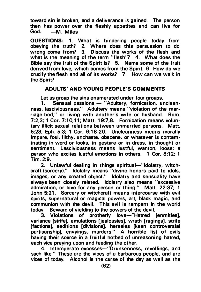toward sin is broken, and a deliverance is gained. The person then has power over the fleshly appetites and can live for God. - M. Miles

QUESTIONS: 1. What is hindering people today from obeying the truth? 2. Where does this persuasion to do wrong come from? 3. Discuss the works of the flesh and what is the meaning of the term "flesh"? 4. What does the Bible say the fruit of the Spirit is? 5. Name some of the fruit derived from love, which comes from the Spirit. 6. How do we crucify the flesh and all of its works? 7. How can we walk in the Spirit?

## ADULTS' AND YOUNG PEOPLE'S COMMENTS

Let us group the sins enumerated under four groups.

1. Sensual passions - "Adultery, fornication, uncleanness, lasciviousness." Adultery means "violation of the marriage-bed," or living with another's wife or husband. Rom. 7:2,3; 1 Cor. 7:10,11; Matt. 19:7,8. Fornication means voluntary illicit sexual relations between unmarried persons. Matt. 5:28; Eph. 5:3; 1 Cor. 6:18-20. Uncleanness means morally impure, foul, filthy, unchaste, obscene, or whatever is contaminating in word or looks, in gesture or in dress, in thought or sentiment. Lasciviousness means lustful, wanton, loose; a person who excites lustful emotions in others. 1 Cor. 8:12: 1 Tim. 2:9.

2. Unlawful dealing in things spiritual-"Idolatry, witchcraft (sorcery)." Idolatry means "divine honors paid to idols, images, or any created object." Idolatry and sensuality have always been closely related. Idolatry also means "excessive admiration, or love for any person or thing." Matt. 22:37: 1 John 5:21 . Sorcery or witchcraft means intercourse with evil spirits, supernatural or magical powers, art, black magic, and communion with the devil. This evil is rampant in the world today. Beward of vielding to the powers of the devil.

3. Violations of brotherly love-"Hatred [enmities], variance [strife], emulations [jealousies], wrath [ragings], strife [factions], seditions [divisions], heresies [keen controversial partisanship], envyings, murders." A horrible list of evils having their source in a fruitful hotbed of unreasoning hatred, each vice preying upon and feeding the other.

4. Intemperate excesses-"Drunkenness, revellings, and such like." These are the vices of a barbarous people, and are vices of today. Alcohol is the curse of the day as well as the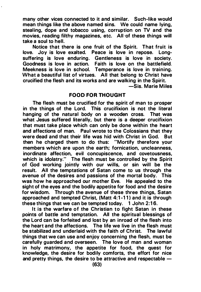many other vices connected to it and similar. Such-like would mean things like the above named sins. We could name lying, stealing, dope and tobacco using, corruption on TV and the movies, reading filthy magazines, etc. All of these things will take a soul to hell.

Notice that there is one fruit of the Spirit. That fruit is love. Joy is love exalted. Peace is love in repose. Longsuffering is love enduring. Gentleness is love in society. Goodness is love in action. Faith is love on the battlefield. Meekness is love in school. Temperance is love in training. What a beautiful list of virtues. All that belong to Christ have crucified the flesh and its works and are walking in the Spirit.

 $-S$ is. Marie Miles

## FOOD FOR THOUGHT

The flesh must be crucified for the spirit of man to prosper in the things of the Lord. This crucifixion is not the literal hanging of the natural body on a wooden cross. That was what Jesus suffered literally, but there is a deeper crucifixion that must take place which can only be done within the heart and affections of man. Paul wrote to the Colossians that they were dead and that their life was hid with Christ in God. But then he charged them to do thus: "Mortify therefore your members which are upon the earth; fornication, uncleanness, inordinate affection, evil concupiscence, and covetousness, which is idolatry." The flesh must be controlled by the Spirit of God working jointly with our wills, or sin will be the result. All the temptations of Satan come to us through the avenue of the desires and passions of the mortal body. This was how he approached our mother Eve. He appealed to the sight of the eyes and the bodily appetite for food and the desire for wisdom. Through the avenue of these three things, Satan approached and tempted Christ, (Matt 4:1 -1 1) and it is through these things that we can be tempted today. 1 John 2:16.

It is the warfare of the Christian to fight Satan in these points of battle and temptation. All the spiritual blessings of the Lord can be forfeited and lost by an inroad of the flesh into the heart and the affections. The life we live in the flesh must be stabilized and underlaid with the faith of Christ. The lawful things that we can use a nd enjoy concerning the flesh, must be carefully guarded and overseen. The love of man and woman in holy matrimony, the appetite for food, the quest for knowledge, the desire for bodily comforts, the effort for nice and pretty things, the desire to be attractive and respectable  $-$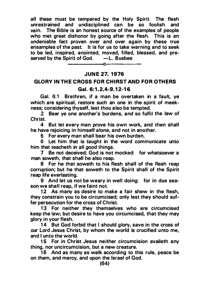all these must be tempered by the Holy Spirit. The flesh unrestrained and undisciplined can be so foolish and vain. The Bible is an honest source of the examples of people who met great dishonor by going after the flesh. This is an undeniable fact proven over and over again by these true ensamples of the past. It is for us to take warning and to seek to be led, inspired, anointed, moved, filled, blessed, and preserved by the Spirit of God.  $-L$ . Busbee

 $-$ 

# **JUNE 27, 1976**

## GLORY IN THE CROSS FOR CHIRST AND FOR OTHERS

## Gal. 6:1.2.4-9.12-16

Gal. 6:1 Brethren, if a man be overtaken in a fault, ye which are spiritual, restore such an one in the spirit of meekness; considering thyself, lest thou a lso be tempted.

2 Bear ve one another's burdens, and so fulfil the law of Christ.

4 But let every man prove his own work, and then shall he have rejoicing in himself a lone, and not in another.

5 For every man shall bear his own burden.

6 Let him that is taught in the word communicate unto him that teacheth in all good things.

7 Be not deceived; God is not mocked: for whatsoever a man soweth, that shall be also reap.

8 For he that soweth to his flesh shall of the flesh reap corruption; but he that soweth to the Spirit shall of the Spirit reap life everlasting.

9 And let us not be weary in well doing: for in due season we shall reap, if we faint not.

12 As many as desire to make a fair shew in the flesh, they constrain you to be circumcised; only lest they should suffer persecution for the cross of Christ.

13 For neither they themselves who are circumcised keep the law; but desire to have you circumcised, that they may glory in your flesh.

14 But God forbid that I should glory, save in the cross of our Lord Jesus Christ, by whom the world is crucified unto me, and I unto the world.

15 For in Christ Jesus neither circumcision availeth any thing, nor uncircumcision, but a new creature.

16 And as many as walk according to this rule, peace be on them, and mercy, and upon the Israel of God.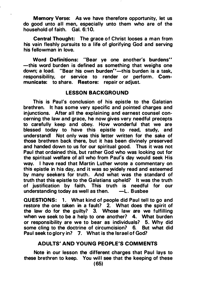Memory Verse: As we have therefore opportunity, let us do good unto all men, especially unto them who are of the household of faith. Gal. 6:10.

Central Thought: The grace of Christ looses a man from his vain fleshly pursuits to a life of glorifying God and serving his fellowman in love.

Word Definitions: "Bear ye one another's burdens" -this word burden is defined as something that weighs one down; a load. "Bear his own burden"-this burden is a task. responsibility, or service to render or perform. Communicate: to share. Restore: repair or adjust.

#### LESSON BACKGROUND

This is Paul's conclusion of his epistle to the Galatian brethren. It has some very specific and pointed charges and iniunctions. After all the explaining and earnest counsel concerning the law and grace, he now gives very needful precepts to carefully keep and obey. How wonderful that we are blessed today to have this epistle to read, study, and understand! Not only was this letter written for the sake of those brethren back there, but it has been divinely preserved and handed down to us for our spiritual good. Thus it was not Paul that ordained this, but rather God who was looking out for the spiritual welfare of all who from Paul's day would seek His way. I have read that Martin Luther wrote a commentary on this epistle in his day, and it was so widely read and esteemed by many seekers for truth. And what was the standard of truth that this epistle to the Galatians upheld? It was the truth of justification by faith. This truth is needful for our understanding today as well as then  $-1$ . Bushee understanding today as well as then.

QUESTIONS: 1. What kind of people did Paul tell to go and restore the one taken in a fault? 2. What does the spirit of the law do for the guilty? 3. Whose law are we fulfilling when we seek to be a help to one another? 4. What burden or responsibility are we to bear as individuals? 5. Why did some cling to the doctrine of circumcision? 6. But what did Paul seek to glory in? 7. What is the Israel of God?

## ADULTS' AND YOUNG PEOPLE'S COMMENTS

Note in our lesson the different charges that Paul lays to these brethren to keep. You will see that the keeping of these (65)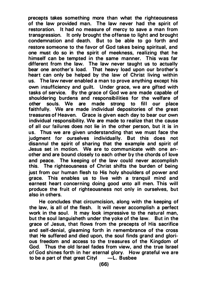precepts takes something more than what the righteousness of the law provided man. The law never had the spirit of restoration. It had no measure of mercy to save a man from transgression. It only brought the offense to light and brought condemnation and death. But to be able to go forth and restore someone to the favor of God takes being spiritual, and one must do so in the spirit of meekness, realizing that he himself can be tempted in the same manner. This was far different from the law. The law never taught us to actually bear one another's load. That heavy load upon our brother's heart can only be helped by the law of Christ living within us. The law never enabled a man to prove anything except his own insufficiency and guilt. Under grace, we are gifted with tasks of service. By the grace of God we are made capable of shouldering burdens and responsibilities for the welfare of<br>other souls. We are made strong to fill our place made strong to fill our place faithfully. We are made individual depositories of the great treasures of Heaven. Grace is given each day to bear our own individual responsibility. We are made to realize that the cause of all our failures does not lie in the other person, but it is in us. Thus we are given understanding that we must face the judgment for ourselves individuaily. But this does not disannul the spirit of sharing that the example and spirit of Jesus set in motion. We are to communicate with one another and are bound closely to each other by the chords of love and peace. The keeping of the law could never accomplish this. The righteousness of Christ shifts the burden of being just from our human flesh to His holy shoulders of power and grace. This enables us to live with a tranquil mind and earnest heart concerning doing good unto all men. This will produce the fruit of righteousness not only in ourselves, but also in others.

He concludes that circumcision, along with the keeping of the law, is all of the flesh. It will never accomplish a perfect work in the soul. It may look impressive to the natural man, but the soul languisheth under the yoke of the law. But in the grace of Jesus, that flows from the precepts of His sacrifice and self-denial, gleaming forth in remembrance of the cross that He suffered and died upon, the soul finds grand and glorious freedom and access to the treasures of the Kingdom of God. Thus the old Israel fades from view, and the true Israel of God shines forth in her eternal glory. How grateful we are to be a part of that great Cityl  $-L$ . Busbee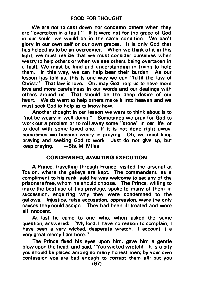We are not to cast down nor condemn others when they are "overtaken in a fault." If it were not for the grace of God in our souls, we would be in the same condition. We can't glory in our own self or our own graces. It is only God that has helped us to be an overcomer. When we think of it in this light, we must realize that we must consider ourselves when we try to help others or when we see others being overtaken in a fault. We must be kind and understanding in trying to help them. In this way, we can help bear their burden. As our lesson has told us, this is one way we can "fulfil the law of Christ.'' That law is love. Oh, may God help us to have more love and more carefulness in our words and our dealings with others around us. That should be the deep desire of our heart. We do want to help others make it into heaven and we must seek God to help us to know how.

Another thought in our lesson we want to think about is to "not be weary in well doing." Sometimes we pray for God to work out a problem or to roll away some "stone" in our life, or to deal with some loved one. If it is not done right away, sometimes we become weary in praying. Oh, we must keep praying and seeking God to work. Just do not give up, but  $-\hat{\textbf{S}}$ is. M. Miles

## CONDEMNED, AWAITING EXECUTION

A Prince, travelling through France, visited the arsenal at Toulon, where the galleys are kept. The commandant, as a compliment to his rank, said he was welcome to set any of the prisoners free, whom he should choose. The Prince, willing to make the best use of this privilege, spoke to many of them in succession, enquiring why they were condemned to the gallows. Injustice, false accusation, oppression, were the only causes they could assign. They had been ill-treated and were all innocent.

At last he came to one who, when asked the same question, answered: "My lord, I have no reason to complain; I have been a very wicked, desperate wretch. I account it a very great mercy I am here."

The Prince fixed his eyes upon him, gave him a gentle blow upon the head, and said, "You wicked wretch! It is a pity you should be placed among so many honest men; by your own confession you are bad enough to corrupt them all; but you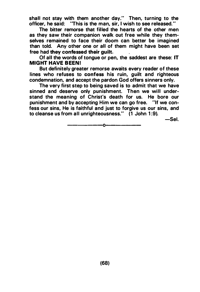shall not stay with them another day." Then, turning to the officer, he said: 'This is the man, sir, I wish to see released. "

The bitter remorse that filled the hearts of the other men as they saw their companion walk out free while they themselves remained to face their doom can better be imagined than told. Any other one or all of them might have been set free had they confessed their guilt.

Of all the words of tongue or pen, the saddest are these: IT **MIGHT HAVE BEEN!** 

But definitely greater remorse awaits every reader of these lines who refuses to confess his ruin, guilt and righteous condemnation, and accept the pardon God offers sinners only.

The very first step to being saved is to admit that we have sinned and deserve only punishment. Then we will understand the meaning of Christ's death for us. He bore our punishment and by accepting Him we can go free. "If we confess our sins, He is faithful and just to forgive us our sins, and to cleanse us from all unrighteousness." (1 John 1:9).

-Sel.

,0